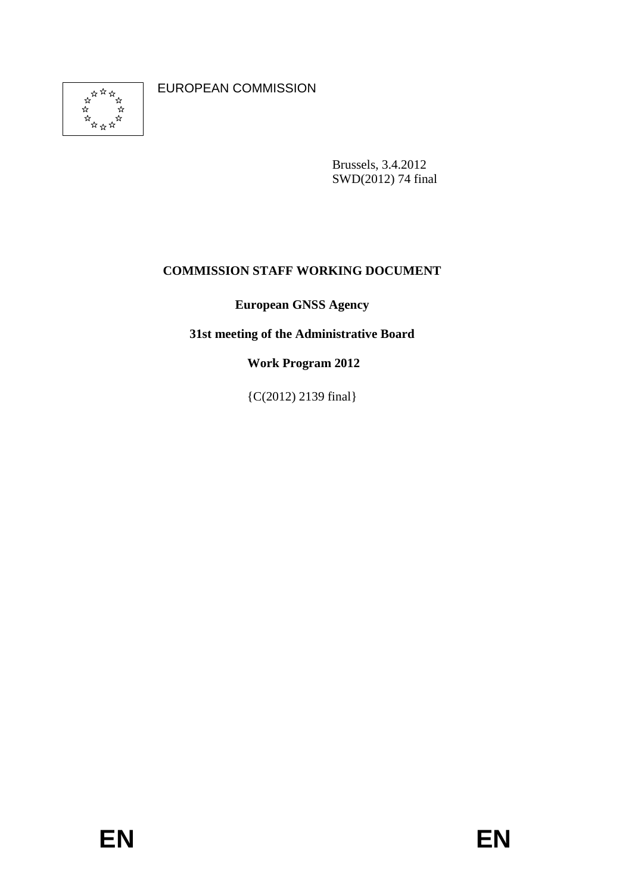

EUROPEAN COMMISSION

Brussels, 3.4.2012 SWD(2012) 74 final

# **COMMISSION STAFF WORKING DOCUMENT**

**European GNSS Agency** 

**31st meeting of the Administrative Board** 

 **Work Program 2012** 

{C(2012) 2139 final}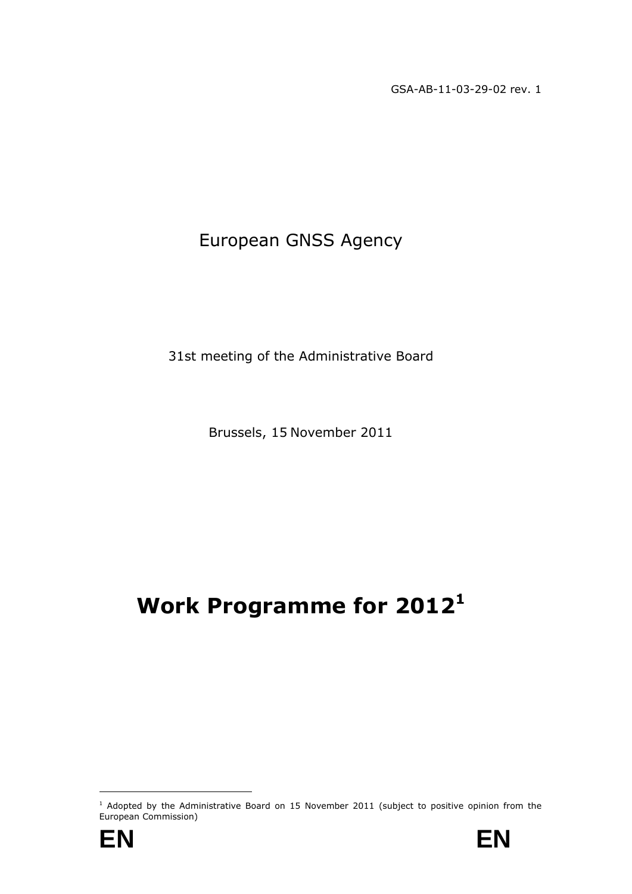GSA-AB-11-03-29-02 rev. 1

# European GNSS Agency

31st meeting of the Administrative Board

Brussels, 15 November 2011

# **Work Programme for 2012<sup>1</sup>**



<sup>&</sup>lt;sup>1</sup> Adopted by the Administrative Board on 15 November 2011 (subject to positive opinion from the European Commission)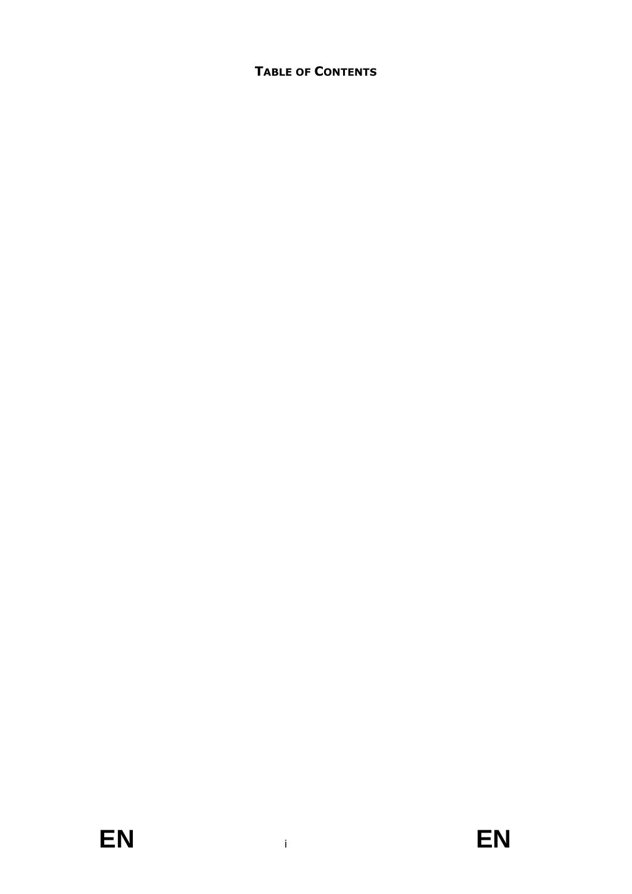# **TABLE OF CONTENTS**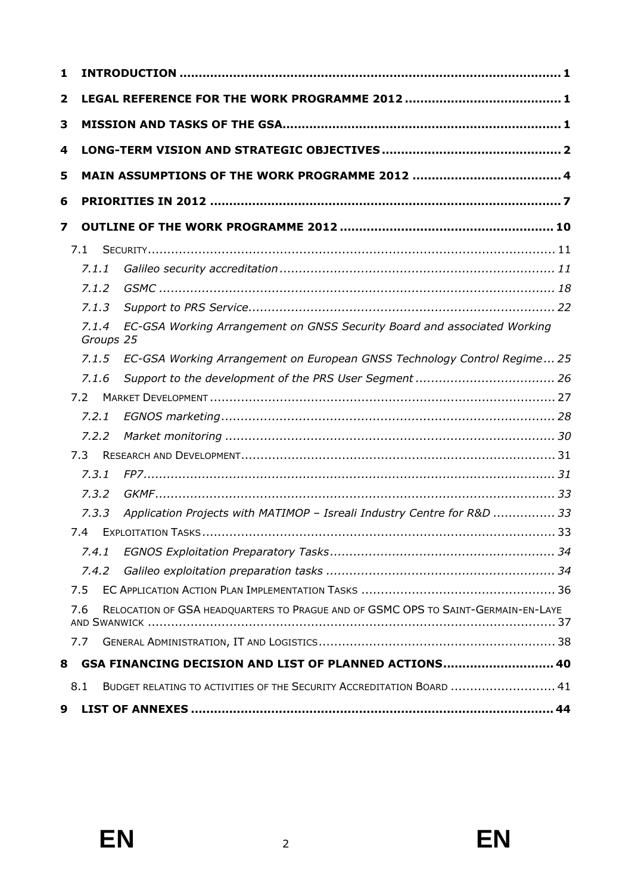| 1                       |     |       |  |                                                                                                   |  |  |  |  |
|-------------------------|-----|-------|--|---------------------------------------------------------------------------------------------------|--|--|--|--|
| $\overline{\mathbf{2}}$ |     |       |  |                                                                                                   |  |  |  |  |
| 3                       |     |       |  |                                                                                                   |  |  |  |  |
| 4                       |     |       |  |                                                                                                   |  |  |  |  |
| 5                       |     |       |  |                                                                                                   |  |  |  |  |
|                         |     |       |  |                                                                                                   |  |  |  |  |
| 6                       |     |       |  |                                                                                                   |  |  |  |  |
| 7                       |     |       |  |                                                                                                   |  |  |  |  |
|                         | 7.1 |       |  |                                                                                                   |  |  |  |  |
|                         |     | 7.1.1 |  |                                                                                                   |  |  |  |  |
|                         |     | 7.1.2 |  |                                                                                                   |  |  |  |  |
|                         |     | 7.1.3 |  |                                                                                                   |  |  |  |  |
|                         |     | 7.1.4 |  | EC-GSA Working Arrangement on GNSS Security Board and associated Working<br>Groups 25             |  |  |  |  |
|                         |     | 7.1.5 |  | EC-GSA Working Arrangement on European GNSS Technology Control Regime 25                          |  |  |  |  |
|                         |     | 7.1.6 |  |                                                                                                   |  |  |  |  |
|                         | 7.2 |       |  |                                                                                                   |  |  |  |  |
|                         |     | 7.2.1 |  |                                                                                                   |  |  |  |  |
|                         |     | 7.2.2 |  |                                                                                                   |  |  |  |  |
|                         | 7.3 |       |  |                                                                                                   |  |  |  |  |
|                         |     | 7.3.1 |  |                                                                                                   |  |  |  |  |
|                         |     | 7.3.2 |  |                                                                                                   |  |  |  |  |
|                         |     | 7.3.3 |  | Application Projects with MATIMOP - Isreali Industry Centre for R&D  33                           |  |  |  |  |
|                         |     | 7.4   |  |                                                                                                   |  |  |  |  |
|                         |     | 7.4.1 |  |                                                                                                   |  |  |  |  |
|                         |     | 7.4.2 |  |                                                                                                   |  |  |  |  |
|                         | 7.5 |       |  |                                                                                                   |  |  |  |  |
|                         | 7.6 |       |  | RELOCATION OF GSA HEADQUARTERS TO PRAGUE AND OF GSMC OPS TO SAINT-GERMAIN-EN-LAYE<br>AND SWANWICK |  |  |  |  |
|                         | 7.7 |       |  |                                                                                                   |  |  |  |  |
| 8                       |     |       |  | GSA FINANCING DECISION AND LIST OF PLANNED ACTIONS 40                                             |  |  |  |  |
|                         | 8.1 |       |  | BUDGET RELATING TO ACTIVITIES OF THE SECURITY ACCREDITATION BOARD  41                             |  |  |  |  |
| 9                       |     |       |  |                                                                                                   |  |  |  |  |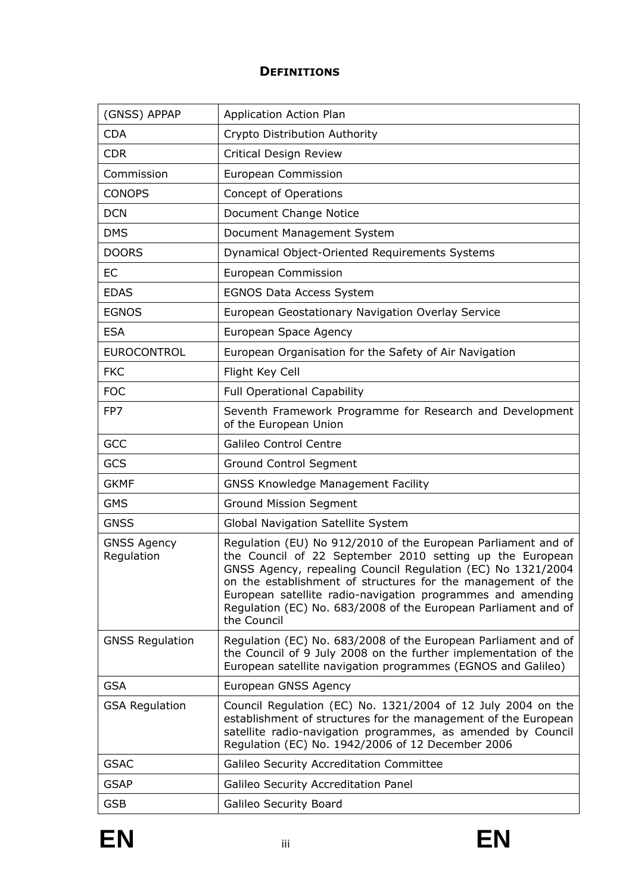# **DEFINITIONS**

| (GNSS) APPAP                     | Application Action Plan                                                                                                                                                                                                                                                                                                                                                                                  |
|----------------------------------|----------------------------------------------------------------------------------------------------------------------------------------------------------------------------------------------------------------------------------------------------------------------------------------------------------------------------------------------------------------------------------------------------------|
| <b>CDA</b>                       | Crypto Distribution Authority                                                                                                                                                                                                                                                                                                                                                                            |
| <b>CDR</b>                       | <b>Critical Design Review</b>                                                                                                                                                                                                                                                                                                                                                                            |
| Commission                       | European Commission                                                                                                                                                                                                                                                                                                                                                                                      |
| <b>CONOPS</b>                    | Concept of Operations                                                                                                                                                                                                                                                                                                                                                                                    |
| <b>DCN</b>                       | Document Change Notice                                                                                                                                                                                                                                                                                                                                                                                   |
| <b>DMS</b>                       | Document Management System                                                                                                                                                                                                                                                                                                                                                                               |
| <b>DOORS</b>                     | Dynamical Object-Oriented Requirements Systems                                                                                                                                                                                                                                                                                                                                                           |
| EC                               | <b>European Commission</b>                                                                                                                                                                                                                                                                                                                                                                               |
| <b>EDAS</b>                      | <b>EGNOS Data Access System</b>                                                                                                                                                                                                                                                                                                                                                                          |
| <b>EGNOS</b>                     | European Geostationary Navigation Overlay Service                                                                                                                                                                                                                                                                                                                                                        |
| <b>ESA</b>                       | European Space Agency                                                                                                                                                                                                                                                                                                                                                                                    |
| <b>EUROCONTROL</b>               | European Organisation for the Safety of Air Navigation                                                                                                                                                                                                                                                                                                                                                   |
| <b>FKC</b>                       | Flight Key Cell                                                                                                                                                                                                                                                                                                                                                                                          |
| <b>FOC</b>                       | <b>Full Operational Capability</b>                                                                                                                                                                                                                                                                                                                                                                       |
| FP7                              | Seventh Framework Programme for Research and Development<br>of the European Union                                                                                                                                                                                                                                                                                                                        |
| <b>GCC</b>                       | <b>Galileo Control Centre</b>                                                                                                                                                                                                                                                                                                                                                                            |
| GCS                              | <b>Ground Control Segment</b>                                                                                                                                                                                                                                                                                                                                                                            |
| <b>GKMF</b>                      | <b>GNSS Knowledge Management Facility</b>                                                                                                                                                                                                                                                                                                                                                                |
| <b>GMS</b>                       | <b>Ground Mission Segment</b>                                                                                                                                                                                                                                                                                                                                                                            |
| <b>GNSS</b>                      | Global Navigation Satellite System                                                                                                                                                                                                                                                                                                                                                                       |
| <b>GNSS Agency</b><br>Regulation | Regulation (EU) No 912/2010 of the European Parliament and of<br>the Council of 22 September 2010 setting up the European<br>GNSS Agency, repealing Council Regulation (EC) No 1321/2004<br>on the establishment of structures for the management of the<br>European satellite radio-navigation programmes and amending<br>Regulation (EC) No. 683/2008 of the European Parliament and of<br>the Council |
| <b>GNSS Regulation</b>           | Regulation (EC) No. 683/2008 of the European Parliament and of<br>the Council of 9 July 2008 on the further implementation of the<br>European satellite navigation programmes (EGNOS and Galileo)                                                                                                                                                                                                        |
| <b>GSA</b>                       | European GNSS Agency                                                                                                                                                                                                                                                                                                                                                                                     |
| <b>GSA Regulation</b>            | Council Regulation (EC) No. 1321/2004 of 12 July 2004 on the<br>establishment of structures for the management of the European<br>satellite radio-navigation programmes, as amended by Council<br>Regulation (EC) No. 1942/2006 of 12 December 2006                                                                                                                                                      |
| <b>GSAC</b>                      | Galileo Security Accreditation Committee                                                                                                                                                                                                                                                                                                                                                                 |
| <b>GSAP</b>                      | Galileo Security Accreditation Panel                                                                                                                                                                                                                                                                                                                                                                     |
| <b>GSB</b>                       | Galileo Security Board                                                                                                                                                                                                                                                                                                                                                                                   |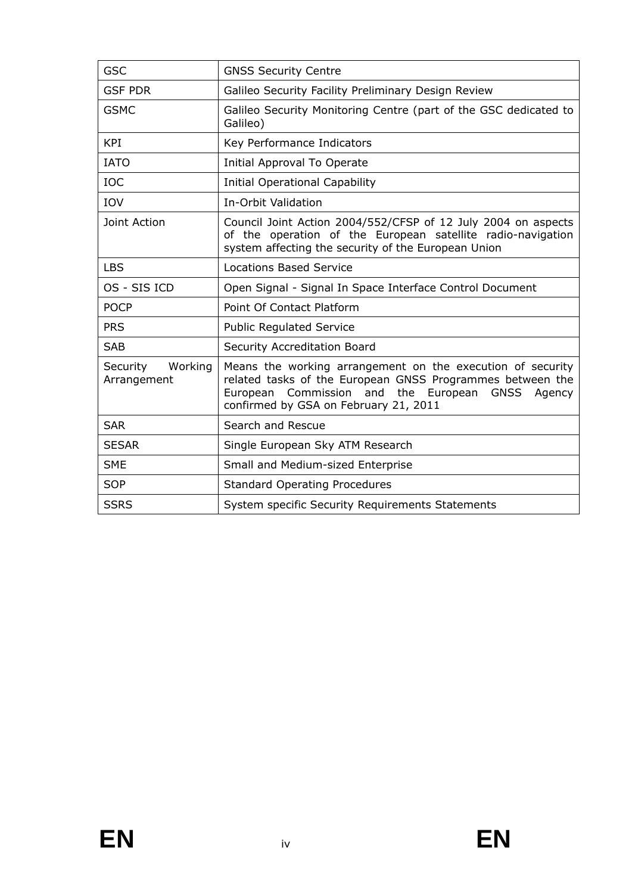| <b>GSC</b>                         | <b>GNSS Security Centre</b>                                                                                                                                                                                                       |  |  |
|------------------------------------|-----------------------------------------------------------------------------------------------------------------------------------------------------------------------------------------------------------------------------------|--|--|
| <b>GSF PDR</b>                     | Galileo Security Facility Preliminary Design Review                                                                                                                                                                               |  |  |
| <b>GSMC</b>                        | Galileo Security Monitoring Centre (part of the GSC dedicated to<br>Galileo)                                                                                                                                                      |  |  |
| <b>KPI</b>                         | Key Performance Indicators                                                                                                                                                                                                        |  |  |
| <b>IATO</b>                        | Initial Approval To Operate                                                                                                                                                                                                       |  |  |
| <b>IOC</b>                         | <b>Initial Operational Capability</b>                                                                                                                                                                                             |  |  |
| IOV                                | In-Orbit Validation                                                                                                                                                                                                               |  |  |
| Joint Action                       | Council Joint Action 2004/552/CFSP of 12 July 2004 on aspects<br>of the operation of the European satellite radio-navigation<br>system affecting the security of the European Union                                               |  |  |
| <b>LBS</b>                         | <b>Locations Based Service</b>                                                                                                                                                                                                    |  |  |
| OS - SIS ICD                       | Open Signal - Signal In Space Interface Control Document                                                                                                                                                                          |  |  |
| <b>POCP</b>                        | Point Of Contact Platform                                                                                                                                                                                                         |  |  |
| <b>PRS</b>                         | <b>Public Regulated Service</b>                                                                                                                                                                                                   |  |  |
| <b>SAB</b>                         | Security Accreditation Board                                                                                                                                                                                                      |  |  |
| Working<br>Security<br>Arrangement | Means the working arrangement on the execution of security<br>related tasks of the European GNSS Programmes between the<br>European Commission and the European<br><b>GNSS</b><br>Agency<br>confirmed by GSA on February 21, 2011 |  |  |
| <b>SAR</b>                         | Search and Rescue                                                                                                                                                                                                                 |  |  |
| <b>SESAR</b>                       | Single European Sky ATM Research                                                                                                                                                                                                  |  |  |
| <b>SME</b>                         | Small and Medium-sized Enterprise                                                                                                                                                                                                 |  |  |
| <b>SOP</b>                         | <b>Standard Operating Procedures</b>                                                                                                                                                                                              |  |  |
| <b>SSRS</b>                        | System specific Security Requirements Statements                                                                                                                                                                                  |  |  |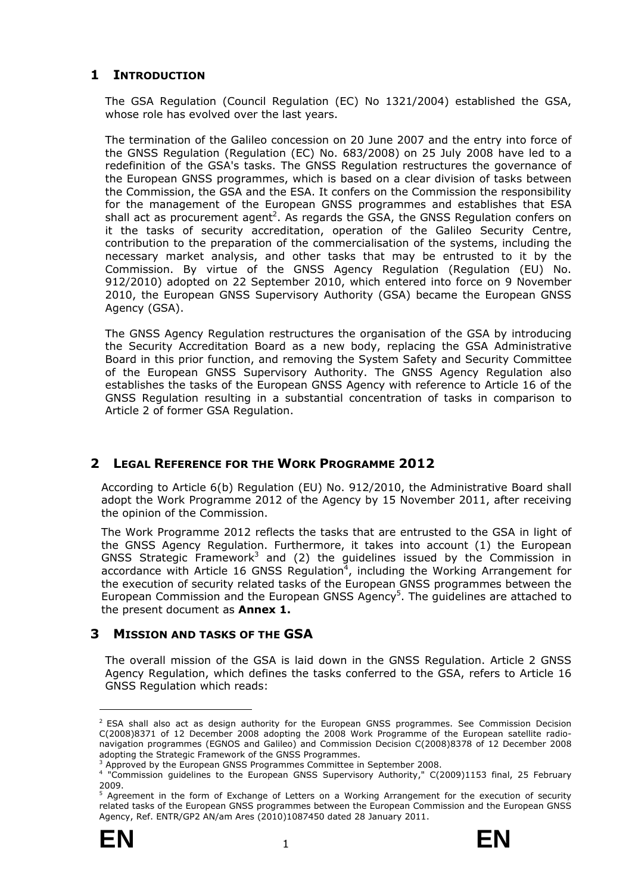# <span id="page-6-0"></span>**1 INTRODUCTION**

The GSA Regulation (Council Regulation (EC) No 1321/2004) established the GSA, whose role has evolved over the last years.

The termination of the Galileo concession on 20 June 2007 and the entry into force of the GNSS Regulation (Regulation (EC) No. 683/2008) on 25 July 2008 have led to a redefinition of the GSA's tasks. The GNSS Regulation restructures the governance of the European GNSS programmes, which is based on a clear division of tasks between the Commission, the GSA and the ESA. It confers on the Commission the responsibility for the management of the European GNSS programmes and establishes that ESA shall act as procurement agent<sup>2</sup>. As regards the GSA, the GNSS Regulation confers on it the tasks of security accreditation, operation of the Galileo Security Centre, contribution to the preparation of the commercialisation of the systems, including the necessary market analysis, and other tasks that may be entrusted to it by the Commission. By virtue of the GNSS Agency Regulation (Regulation (EU) No. 912/2010) adopted on 22 September 2010, which entered into force on 9 November 2010, the European GNSS Supervisory Authority (GSA) became the European GNSS Agency (GSA).

The GNSS Agency Regulation restructures the organisation of the GSA by introducing the Security Accreditation Board as a new body, replacing the GSA Administrative Board in this prior function, and removing the System Safety and Security Committee of the European GNSS Supervisory Authority. The GNSS Agency Regulation also establishes the tasks of the European GNSS Agency with reference to Article 16 of the GNSS Regulation resulting in a substantial concentration of tasks in comparison to Article 2 of former GSA Regulation.

# <span id="page-6-1"></span>**2 LEGAL REFERENCE FOR THE WORK PROGRAMME 2012**

According to Article 6(b) Regulation (EU) No. 912/2010, the Administrative Board shall adopt the Work Programme 2012 of the Agency by 15 November 2011, after receiving the opinion of the Commission.

The Work Programme 2012 reflects the tasks that are entrusted to the GSA in light of the GNSS Agency Regulation. Furthermore, it takes into account (1) the European GNSS Strategic Framework<sup>3</sup> and (2) the guidelines issued by the Commission in accordance with Article 16 GNSS Regulation<sup>4</sup>, including the Working Arrangement for the execution of security related tasks of the European GNSS programmes between the European Commission and the European GNSS Agency<sup>5</sup>. The guidelines are attached to the present document as **Annex 1.**

# <span id="page-6-2"></span>**3 MISSION AND TASKS OF THE GSA**

The overall mission of the GSA is laid down in the GNSS Regulation. Article 2 GNSS Agency Regulation, which defines the tasks conferred to the GSA, refers to Article 16 GNSS Regulation which reads:

<sup>&</sup>lt;sup>5</sup> Agreement in the form of Exchange of Letters on a Working Arrangement for the execution of security related tasks of the European GNSS programmes between the European Commission and the European GNSS Agency, Ref. ENTR/GP2 AN/am Ares (2010)1087450 dated 28 January 2011.



-

<sup>&</sup>lt;sup>2</sup> ESA shall also act as design authority for the European GNSS programmes. See Commission Decision C(2008)8371 of 12 December 2008 adopting the 2008 Work Programme of the European satellite radionavigation programmes (EGNOS and Galileo) and Commission Decision C(2008)8378 of 12 December 2008 adopting the Strategic Framework of the GNSS Programmes.

<sup>3</sup> Approved by the European GNSS Programmes Committee in September 2008.

<sup>4</sup> "Commission guidelines to the European GNSS Supervisory Authority," C(2009)1153 final, 25 February 2009.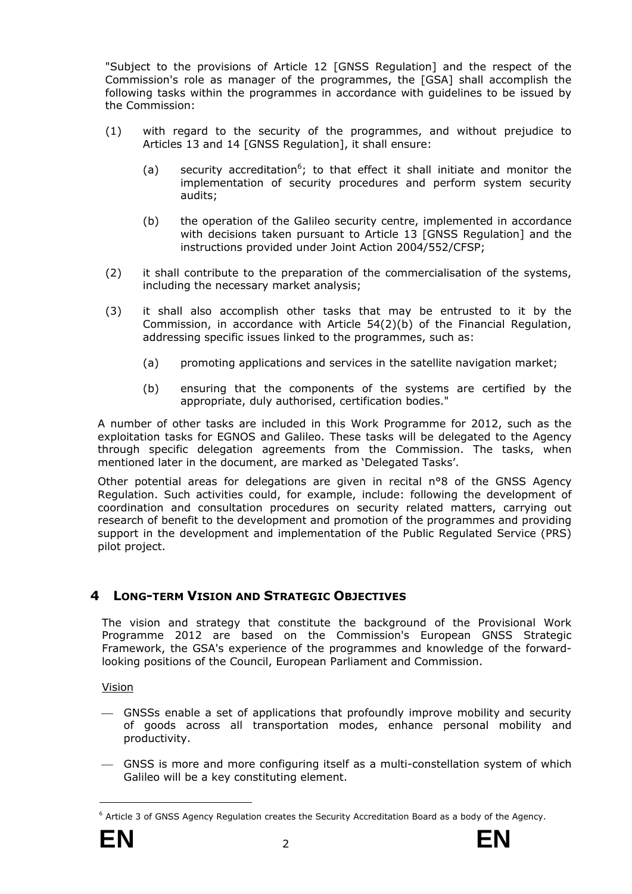"Subject to the provisions of Article 12 [GNSS Regulation] and the respect of the Commission's role as manager of the programmes, the [GSA] shall accomplish the following tasks within the programmes in accordance with guidelines to be issued by the Commission:

- (1) with regard to the security of the programmes, and without prejudice to Articles 13 and 14 [GNSS Regulation], it shall ensure:
	- (a) security accreditation<sup>6</sup>; to that effect it shall initiate and monitor the implementation of security procedures and perform system security audits;
	- (b) the operation of the Galileo security centre, implemented in accordance with decisions taken pursuant to Article 13 [GNSS Regulation] and the instructions provided under Joint Action 2004/552/CFSP;
- (2) it shall contribute to the preparation of the commercialisation of the systems, including the necessary market analysis;
- (3) it shall also accomplish other tasks that may be entrusted to it by the Commission, in accordance with Article 54(2)(b) of the Financial Regulation, addressing specific issues linked to the programmes, such as:
	- (a) promoting applications and services in the satellite navigation market;
	- (b) ensuring that the components of the systems are certified by the appropriate, duly authorised, certification bodies."

A number of other tasks are included in this Work Programme for 2012, such as the exploitation tasks for EGNOS and Galileo. These tasks will be delegated to the Agency through specific delegation agreements from the Commission. The tasks, when mentioned later in the document, are marked as 'Delegated Tasks'.

Other potential areas for delegations are given in recital n°8 of the GNSS Agency Regulation. Such activities could, for example, include: following the development of coordination and consultation procedures on security related matters, carrying out research of benefit to the development and promotion of the programmes and providing support in the development and implementation of the Public Regulated Service (PRS) pilot project.

# <span id="page-7-0"></span>**4 LONG-TERM VISION AND STRATEGIC OBJECTIVES**

The vision and strategy that constitute the background of the Provisional Work Programme 2012 are based on the Commission's European GNSS Strategic Framework, the GSA's experience of the programmes and knowledge of the forwardlooking positions of the Council, European Parliament and Commission.

Vision

- ⎯ GNSSs enable a set of applications that profoundly improve mobility and security of goods across all transportation modes, enhance personal mobility and productivity.
- ⎯ GNSS is more and more configuring itself as a multi-constellation system of which Galileo will be a key constituting element.

<sup>&</sup>lt;sup>6</sup> Article 3 of GNSS Agency Regulation creates the Security Accreditation Board as a body of the Agency.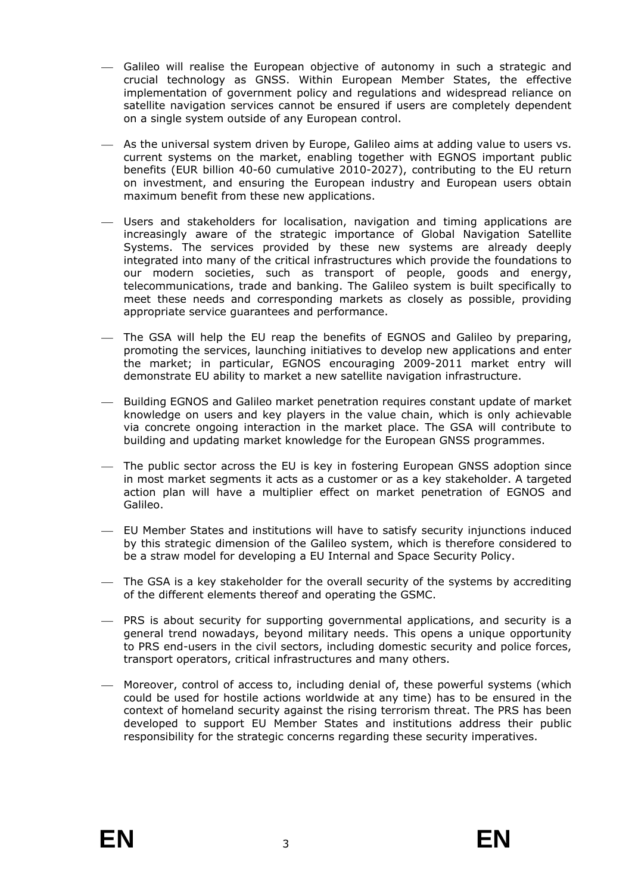- ⎯ Galileo will realise the European objective of autonomy in such a strategic and crucial technology as GNSS. Within European Member States, the effective implementation of government policy and regulations and widespread reliance on satellite navigation services cannot be ensured if users are completely dependent on a single system outside of any European control.
- $-$  As the universal system driven by Europe, Galileo aims at adding value to users vs. current systems on the market, enabling together with EGNOS important public benefits (EUR billion 40-60 cumulative 2010-2027), contributing to the EU return on investment, and ensuring the European industry and European users obtain maximum benefit from these new applications.
- ⎯ Users and stakeholders for localisation, navigation and timing applications are increasingly aware of the strategic importance of Global Navigation Satellite Systems. The services provided by these new systems are already deeply integrated into many of the critical infrastructures which provide the foundations to our modern societies, such as transport of people, goods and energy, telecommunications, trade and banking. The Galileo system is built specifically to meet these needs and corresponding markets as closely as possible, providing appropriate service guarantees and performance.
- ⎯ The GSA will help the EU reap the benefits of EGNOS and Galileo by preparing, promoting the services, launching initiatives to develop new applications and enter the market; in particular, EGNOS encouraging 2009-2011 market entry will demonstrate EU ability to market a new satellite navigation infrastructure.
- ⎯ Building EGNOS and Galileo market penetration requires constant update of market knowledge on users and key players in the value chain, which is only achievable via concrete ongoing interaction in the market place. The GSA will contribute to building and updating market knowledge for the European GNSS programmes.
- ⎯ The public sector across the EU is key in fostering European GNSS adoption since in most market segments it acts as a customer or as a key stakeholder. A targeted action plan will have a multiplier effect on market penetration of EGNOS and Galileo.
- ⎯ EU Member States and institutions will have to satisfy security injunctions induced by this strategic dimension of the Galileo system, which is therefore considered to be a straw model for developing a EU Internal and Space Security Policy.
- $-$  The GSA is a key stakeholder for the overall security of the systems by accrediting of the different elements thereof and operating the GSMC.
- ⎯ PRS is about security for supporting governmental applications, and security is a general trend nowadays, beyond military needs. This opens a unique opportunity to PRS end-users in the civil sectors, including domestic security and police forces, transport operators, critical infrastructures and many others.
- Moreover, control of access to, including denial of, these powerful systems (which could be used for hostile actions worldwide at any time) has to be ensured in the context of homeland security against the rising terrorism threat. The PRS has been developed to support EU Member States and institutions address their public responsibility for the strategic concerns regarding these security imperatives.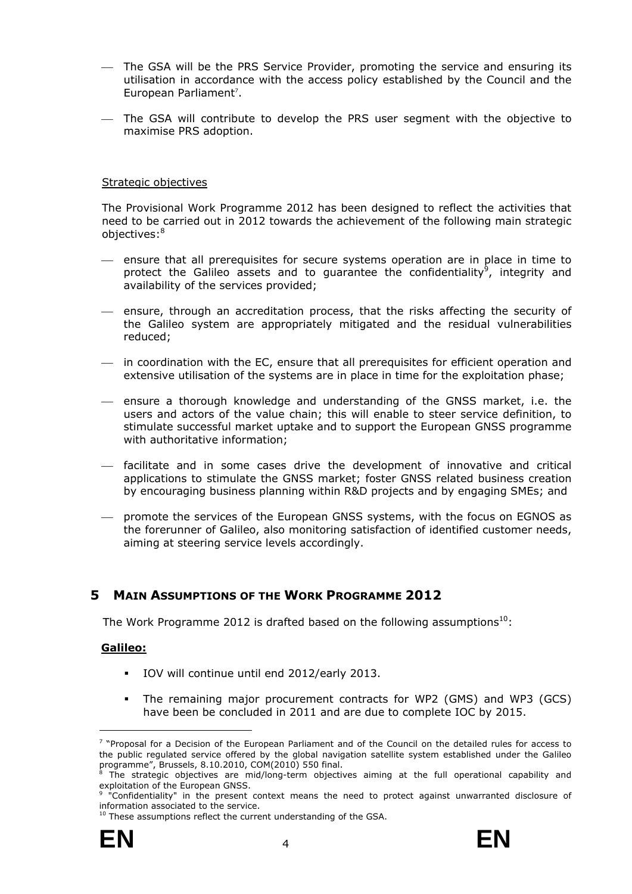- ⎯ The GSA will be the PRS Service Provider, promoting the service and ensuring its utilisation in accordance with the access policy established by the Council and the European Parliament<sup>7</sup>.
- ⎯ The GSA will contribute to develop the PRS user segment with the objective to maximise PRS adoption.

#### Strategic objectives

The Provisional Work Programme 2012 has been designed to reflect the activities that need to be carried out in 2012 towards the achievement of the following main strategic objectives:<sup>8</sup>

- ⎯ ensure that all prerequisites for secure systems operation are in place in time to protect the Galileo assets and to guarantee the confidentiality<sup>9</sup>, integrity and availability of the services provided;
- $-$  ensure, through an accreditation process, that the risks affecting the security of the Galileo system are appropriately mitigated and the residual vulnerabilities reduced;
- $-$  in coordination with the EC, ensure that all prerequisites for efficient operation and extensive utilisation of the systems are in place in time for the exploitation phase;
- ⎯ ensure a thorough knowledge and understanding of the GNSS market, i.e. the users and actors of the value chain; this will enable to steer service definition, to stimulate successful market uptake and to support the European GNSS programme with authoritative information;
- ⎯ facilitate and in some cases drive the development of innovative and critical applications to stimulate the GNSS market; foster GNSS related business creation by encouraging business planning within R&D projects and by engaging SMEs; and
- ⎯ promote the services of the European GNSS systems, with the focus on EGNOS as the forerunner of Galileo, also monitoring satisfaction of identified customer needs, aiming at steering service levels accordingly.

# <span id="page-9-0"></span>**5 MAIN ASSUMPTIONS OF THE WORK PROGRAMME 2012**

The Work Programme 2012 is drafted based on the following assumptions<sup>10</sup>:

# **Galileo:**

- IOV will continue until end 2012/early 2013.
- The remaining major procurement contracts for WP2 (GMS) and WP3 (GCS) have been be concluded in 2011 and are due to complete IOC by 2015.



<sup>7</sup> "Proposal for a Decision of the European Parliament and of the Council on the detailed rules for access to the public regulated service offered by the global navigation satellite system established under the Galileo programme", Brussels, 8.10.2010, COM(2010) 550 final.<br><sup>8</sup> The strategic objectives, are mid/long-term objectiv

The strategic objectives are mid/long-term objectives aiming at the full operational capability and exploitation of the European GNSS.

<sup>&</sup>lt;sup>9</sup> "Confidentiality" in the present context means the need to protect against unwarranted disclosure of information associated to the service.<br><sup>10</sup> These assumptions reflect the current understanding of the GSA.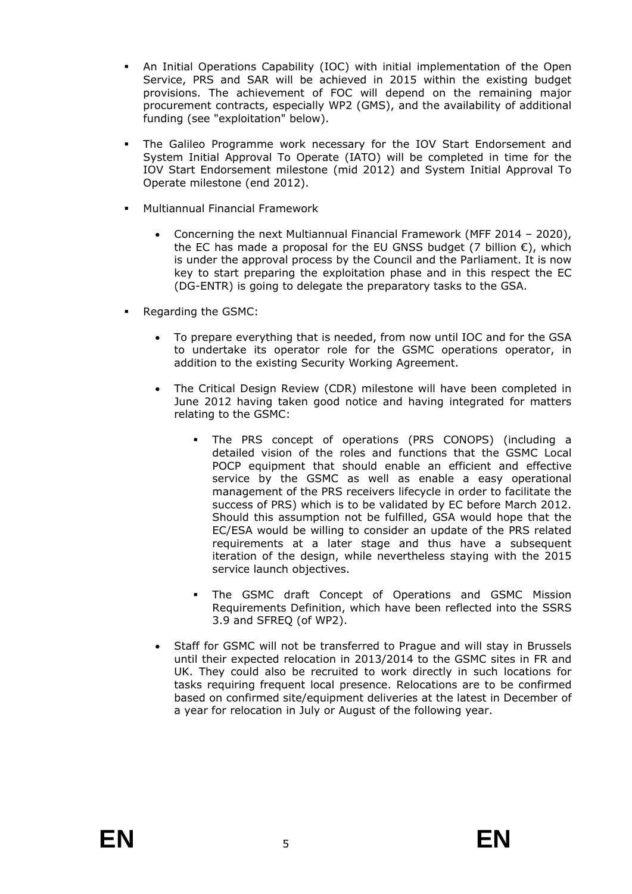- An Initial Operations Capability (IOC) with initial implementation of the Open Service, PRS and SAR will be achieved in 2015 within the existing budget provisions. The achievement of FOC will depend on the remaining major procurement contracts, especially WP2 (GMS), and the availability of additional funding (see "exploitation" below).
- The Galileo Programme work necessary for the IOV Start Endorsement and System Initial Approval To Operate (IATO) will be completed in time for the IOV Start Endorsement milestone (mid 2012) and System Initial Approval To Operate milestone (end 2012).
- Multiannual Financial Framework
	- Concerning the next Multiannual Financial Framework (MFF 2014 2020), the EC has made a proposal for the EU GNSS budget (7 billion  $\epsilon$ ), which is under the approval process by the Council and the Parliament. It is now key to start preparing the exploitation phase and in this respect the EC (DG-ENTR) is going to delegate the preparatory tasks to the GSA.
- Regarding the GSMC:
	- To prepare everything that is needed, from now until IOC and for the GSA to undertake its operator role for the GSMC operations operator, in addition to the existing Security Working Agreement.
	- The Critical Design Review (CDR) milestone will have been completed in June 2012 having taken good notice and having integrated for matters relating to the GSMC:
		- The PRS concept of operations (PRS CONOPS) (including a detailed vision of the roles and functions that the GSMC Local POCP equipment that should enable an efficient and effective service by the GSMC as well as enable a easy operational management of the PRS receivers lifecycle in order to facilitate the success of PRS) which is to be validated by EC before March 2012. Should this assumption not be fulfilled, GSA would hope that the EC/ESA would be willing to consider an update of the PRS related requirements at a later stage and thus have a subsequent iteration of the design, while nevertheless staying with the 2015 service launch objectives.
		- The GSMC draft Concept of Operations and GSMC Mission Requirements Definition, which have been reflected into the SSRS 3.9 and SFREQ (of WP2).
	- Staff for GSMC will not be transferred to Prague and will stay in Brussels until their expected relocation in 2013/2014 to the GSMC sites in FR and UK. They could also be recruited to work directly in such locations for tasks requiring frequent local presence. Relocations are to be confirmed based on confirmed site/equipment deliveries at the latest in December of a year for relocation in July or August of the following year.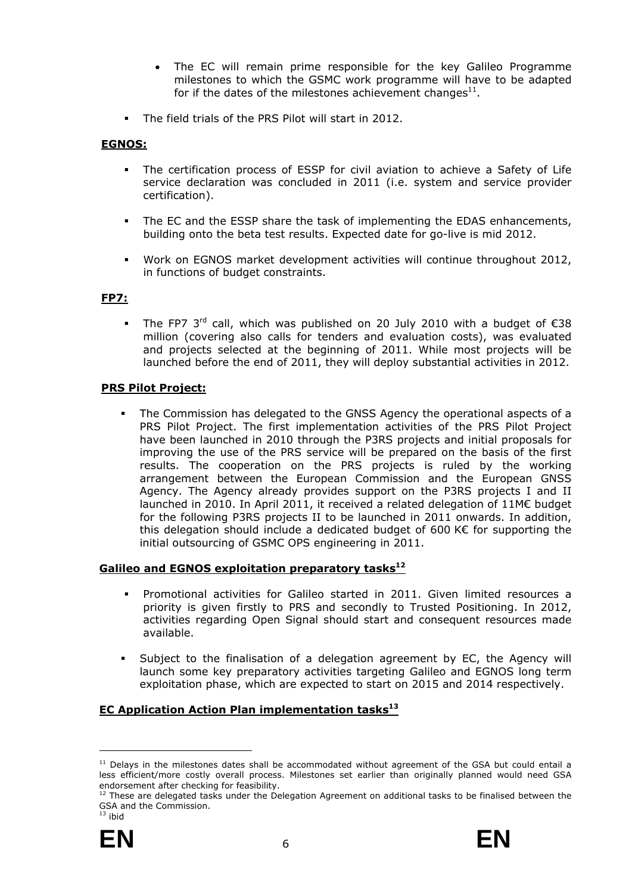- The EC will remain prime responsible for the key Galileo Programme milestones to which the GSMC work programme will have to be adapted for if the dates of the milestones achievement changes<sup>11</sup>.
- The field trials of the PRS Pilot will start in 2012.

# **EGNOS:**

- The certification process of ESSP for civil aviation to achieve a Safety of Life service declaration was concluded in 2011 (i.e. system and service provider certification).
- The EC and the ESSP share the task of implementing the EDAS enhancements, building onto the beta test results. Expected date for go-live is mid 2012.
- Work on EGNOS market development activities will continue throughout 2012, in functions of budget constraints.

# **FP7:**

The FP7 3<sup>rd</sup> call, which was published on 20 July 2010 with a budget of  $\epsilon$ 38 million (covering also calls for tenders and evaluation costs), was evaluated and projects selected at the beginning of 2011. While most projects will be launched before the end of 2011, they will deploy substantial activities in 2012.

# **PRS Pilot Project:**

 The Commission has delegated to the GNSS Agency the operational aspects of a PRS Pilot Project. The first implementation activities of the PRS Pilot Project have been launched in 2010 through the P3RS projects and initial proposals for improving the use of the PRS service will be prepared on the basis of the first results. The cooperation on the PRS projects is ruled by the working arrangement between the European Commission and the European GNSS Agency. The Agency already provides support on the P3RS projects I and II launched in 2010. In April 2011, it received a related delegation of 11M€ budget for the following P3RS projects II to be launched in 2011 onwards. In addition, this delegation should include a dedicated budget of 600 K€ for supporting the initial outsourcing of GSMC OPS engineering in 2011.

# **Galileo and EGNOS exploitation preparatory tasks12**

- Promotional activities for Galileo started in 2011. Given limited resources a priority is given firstly to PRS and secondly to Trusted Positioning. In 2012, activities regarding Open Signal should start and consequent resources made available.
- Subject to the finalisation of a delegation agreement by EC, the Agency will launch some key preparatory activities targeting Galileo and EGNOS long term exploitation phase, which are expected to start on 2015 and 2014 respectively.

# **EC Application Action Plan implementation tasks**<sup>13</sup>

GSA and the Commission.  $13$  ibid





<sup>&</sup>lt;sup>11</sup> Delays in the milestones dates shall be accommodated without agreement of the GSA but could entail a less efficient/more costly overall process. Milestones set earlier than originally planned would need GSA endorsement after checking for feasibility.<br><sup>12</sup> These are delegated tasks under the Delegation Agreement on additional tasks to be finalised between the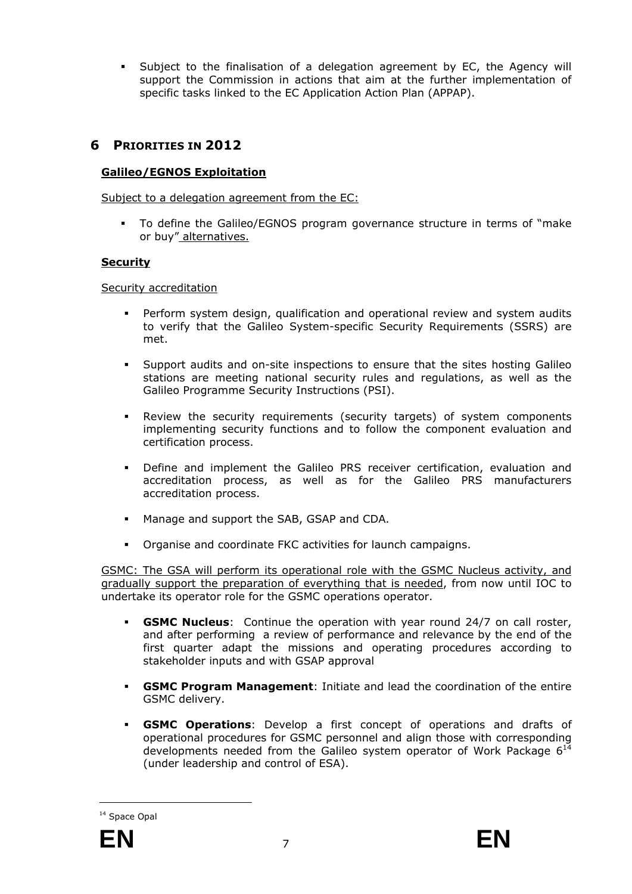Subject to the finalisation of a delegation agreement by EC, the Agency will support the Commission in actions that aim at the further implementation of specific tasks linked to the EC Application Action Plan (APPAP).

# <span id="page-12-0"></span>**6 PRIORITIES IN 2012**

#### **Galileo/EGNOS Exploitation**

Subject to a delegation agreement from the EC:

 To define the Galileo/EGNOS program governance structure in terms of "make or buy" alternatives.

#### **Security**

Security accreditation

- Perform system design, qualification and operational review and system audits to verify that the Galileo System-specific Security Requirements (SSRS) are met.
- Support audits and on-site inspections to ensure that the sites hosting Galileo stations are meeting national security rules and regulations, as well as the Galileo Programme Security Instructions (PSI).
- Review the security requirements (security targets) of system components implementing security functions and to follow the component evaluation and certification process.
- Define and implement the Galileo PRS receiver certification, evaluation and accreditation process, as well as for the Galileo PRS manufacturers accreditation process.
- **Manage and support the SAB, GSAP and CDA.**
- Organise and coordinate FKC activities for launch campaigns.

GSMC: The GSA will perform its operational role with the GSMC Nucleus activity, and gradually support the preparation of everything that is needed, from now until IOC to undertake its operator role for the GSMC operations operator.

- **GSMC Nucleus**: Continue the operation with year round 24/7 on call roster, and after performing a review of performance and relevance by the end of the first quarter adapt the missions and operating procedures according to stakeholder inputs and with GSAP approval
- **GSMC Program Management**: Initiate and lead the coordination of the entire GSMC delivery.
- **GSMC Operations**: Develop a first concept of operations and drafts of operational procedures for GSMC personnel and align those with corresponding developments needed from the Galileo system operator of Work Package  $6^{14}$ (under leadership and control of ESA).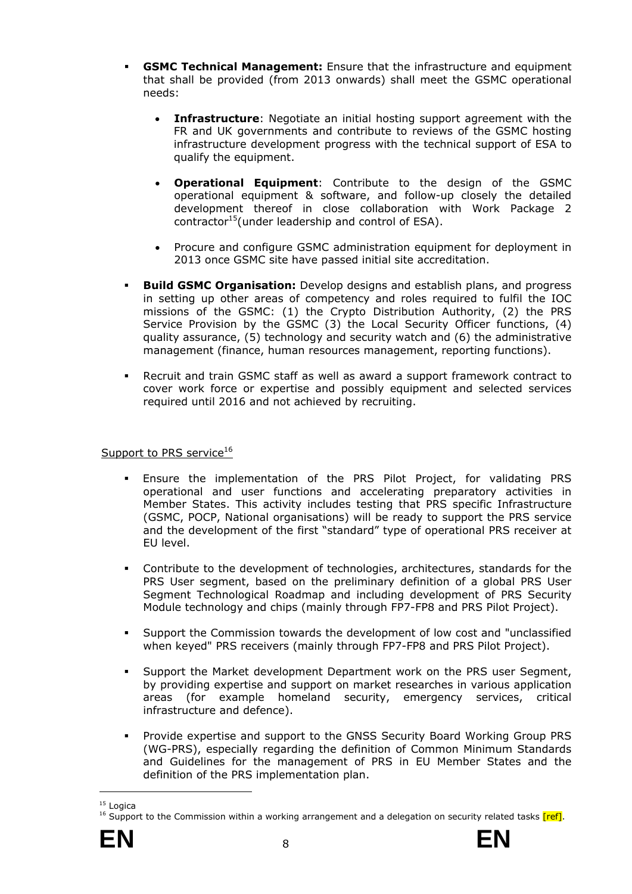- **GSMC Technical Management:** Ensure that the infrastructure and equipment that shall be provided (from 2013 onwards) shall meet the GSMC operational needs:
	- **Infrastructure**: Negotiate an initial hosting support agreement with the FR and UK governments and contribute to reviews of the GSMC hosting infrastructure development progress with the technical support of ESA to qualify the equipment.
	- **Operational Equipment**: Contribute to the design of the GSMC operational equipment & software, and follow-up closely the detailed development thereof in close collaboration with Work Package 2 contractor<sup>15</sup>(under leadership and control of ESA).
	- Procure and configure GSMC administration equipment for deployment in 2013 once GSMC site have passed initial site accreditation.
- **Build GSMC Organisation:** Develop designs and establish plans, and progress in setting up other areas of competency and roles required to fulfil the IOC missions of the GSMC: (1) the Crypto Distribution Authority, (2) the PRS Service Provision by the GSMC (3) the Local Security Officer functions, (4) quality assurance, (5) technology and security watch and (6) the administrative management (finance, human resources management, reporting functions).
- Recruit and train GSMC staff as well as award a support framework contract to cover work force or expertise and possibly equipment and selected services required until 2016 and not achieved by recruiting.

# Support to PRS service<sup>16</sup>

- Ensure the implementation of the PRS Pilot Project, for validating PRS operational and user functions and accelerating preparatory activities in Member States. This activity includes testing that PRS specific Infrastructure (GSMC, POCP, National organisations) will be ready to support the PRS service and the development of the first "standard" type of operational PRS receiver at EU level.
- Contribute to the development of technologies, architectures, standards for the PRS User segment, based on the preliminary definition of a global PRS User Segment Technological Roadmap and including development of PRS Security Module technology and chips (mainly through FP7-FP8 and PRS Pilot Project).
- Support the Commission towards the development of low cost and "unclassified when keyed" PRS receivers (mainly through FP7-FP8 and PRS Pilot Project).
- Support the Market development Department work on the PRS user Segment, by providing expertise and support on market researches in various application areas (for example homeland security, emergency services, critical infrastructure and defence).
- Provide expertise and support to the GNSS Security Board Working Group PRS (WG-PRS), especially regarding the definition of Common Minimum Standards and Guidelines for the management of PRS in EU Member States and the definition of the PRS implementation plan.

<sup>&</sup>lt;sup>15</sup> Logica<br><sup>16</sup> Support to the Commission within a working arrangement and a delegation on security related tasks [ref].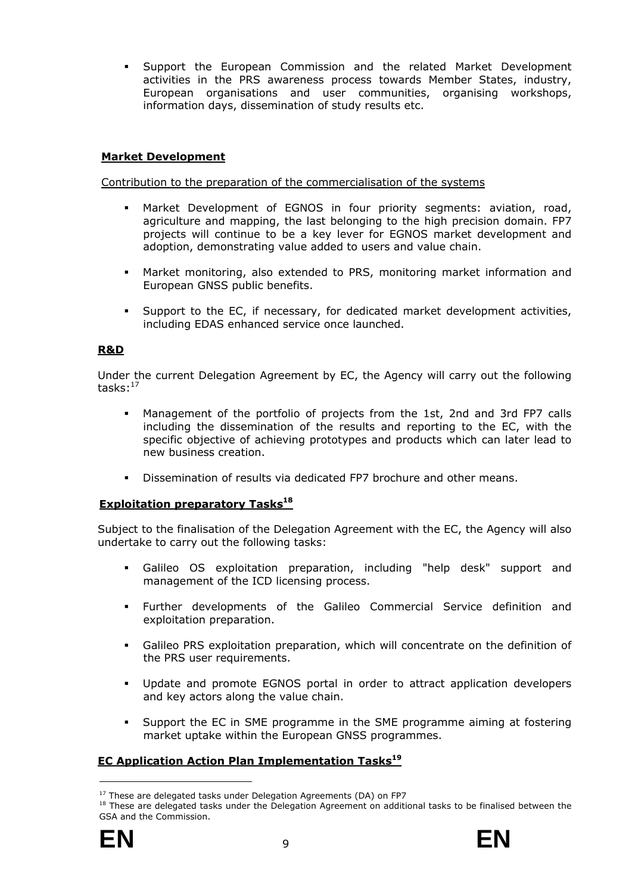Support the European Commission and the related Market Development activities in the PRS awareness process towards Member States, industry, European organisations and user communities, organising workshops, information days, dissemination of study results etc.

# **Market Development**

#### Contribution to the preparation of the commercialisation of the systems

- Market Development of EGNOS in four priority segments: aviation, road, agriculture and mapping, the last belonging to the high precision domain. FP7 projects will continue to be a key lever for EGNOS market development and adoption, demonstrating value added to users and value chain.
- Market monitoring, also extended to PRS, monitoring market information and European GNSS public benefits.
- Support to the EC, if necessary, for dedicated market development activities, including EDAS enhanced service once launched.

# **R&D**

Under the current Delegation Agreement by EC, the Agency will carry out the following tasks: $17$ 

- Management of the portfolio of projects from the 1st, 2nd and 3rd FP7 calls including the dissemination of the results and reporting to the EC, with the specific objective of achieving prototypes and products which can later lead to new business creation.
- Dissemination of results via dedicated FP7 brochure and other means.

# **Exploitation preparatory Tasks**<sup>18</sup>

Subject to the finalisation of the Delegation Agreement with the EC, the Agency will also undertake to carry out the following tasks:

- Galileo OS exploitation preparation, including "help desk" support and management of the ICD licensing process.
- Further developments of the Galileo Commercial Service definition and exploitation preparation.
- Galileo PRS exploitation preparation, which will concentrate on the definition of the PRS user requirements.
- Update and promote EGNOS portal in order to attract application developers and key actors along the value chain.
- Support the EC in SME programme in the SME programme aiming at fostering market uptake within the European GNSS programmes.

# **EC Application Action Plan Implementation Tasks19**

<sup>&</sup>lt;sup>17</sup> These are delegated tasks under Delegation Agreements (DA) on FP7<br><sup>18</sup> These are delegated tasks under the Delegation Agreement on additional tasks to be finalised between the GSA and the Commission.

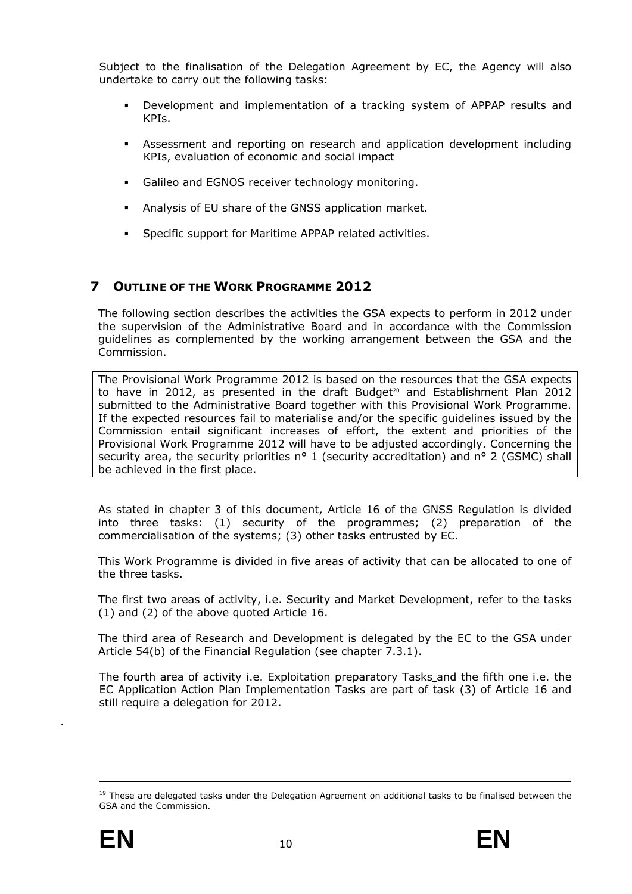Subject to the finalisation of the Delegation Agreement by EC, the Agency will also undertake to carry out the following tasks:

- Development and implementation of a tracking system of APPAP results and KPIs.
- Assessment and reporting on research and application development including KPIs, evaluation of economic and social impact
- Galileo and EGNOS receiver technology monitoring.
- Analysis of EU share of the GNSS application market.
- Specific support for Maritime APPAP related activities.

# <span id="page-15-0"></span>**7 OUTLINE OF THE WORK PROGRAMME 2012**

The following section describes the activities the GSA expects to perform in 2012 under the supervision of the Administrative Board and in accordance with the Commission guidelines as complemented by the working arrangement between the GSA and the Commission.

The Provisional Work Programme 2012 is based on the resources that the GSA expects to have in 2012, as presented in the draft Budget<sup>20</sup> and Establishment Plan 2012 submitted to the Administrative Board together with this Provisional Work Programme. If the expected resources fail to materialise and/or the specific guidelines issued by the Commission entail significant increases of effort, the extent and priorities of the Provisional Work Programme 2012 will have to be adjusted accordingly. Concerning the security area, the security priorities n° 1 (security accreditation) and n° 2 (GSMC) shall be achieved in the first place.

As stated in chapter 3 of this document, Article 16 of the GNSS Regulation is divided into three tasks: (1) security of the programmes; (2) preparation of the commercialisation of the systems; (3) other tasks entrusted by EC.

This Work Programme is divided in five areas of activity that can be allocated to one of the three tasks.

The first two areas of activity, i.e. Security and Market Development, refer to the tasks (1) and (2) of the above quoted Article 16.

The third area of Research and Development is delegated by the EC to the GSA under Article 54(b) of the Financial Regulation (see chapter 7.3.1).

The fourth area of activity i.e. Exploitation preparatory Tasks and the fifth one i.e. the EC Application Action Plan Implementation Tasks are part of task (3) of Article 16 and still require a delegation for 2012.

1

.

<sup>&</sup>lt;sup>19</sup> These are delegated tasks under the Delegation Agreement on additional tasks to be finalised between the GSA and the Commission.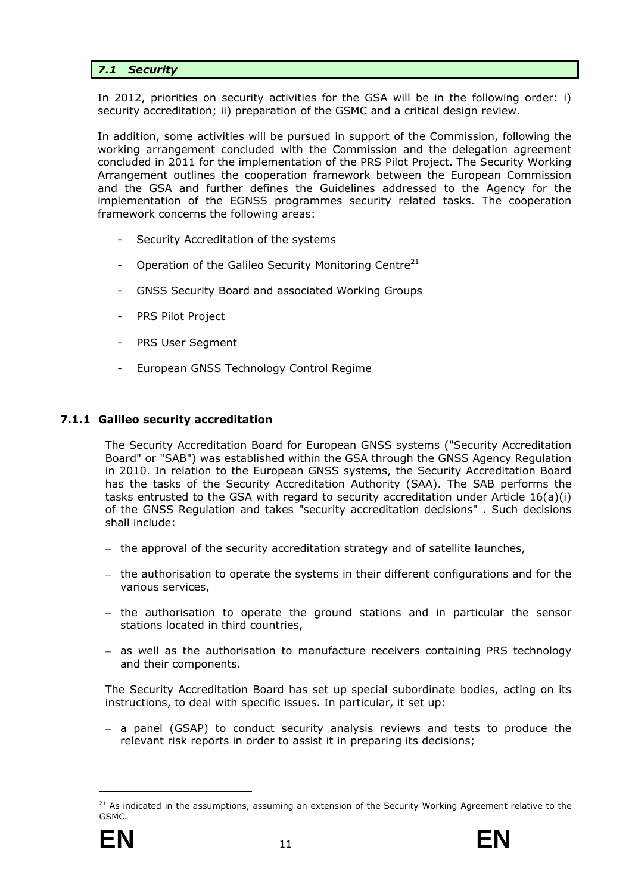# <span id="page-16-0"></span>*7.1 Security*

In 2012, priorities on security activities for the GSA will be in the following order: i) security accreditation; ii) preparation of the GSMC and a critical design review.

In addition, some activities will be pursued in support of the Commission, following the working arrangement concluded with the Commission and the delegation agreement concluded in 2011 for the implementation of the PRS Pilot Project. The Security Working Arrangement outlines the cooperation framework between the European Commission and the GSA and further defines the Guidelines addressed to the Agency for the implementation of the EGNSS programmes security related tasks. The cooperation framework concerns the following areas:

- Security Accreditation of the systems
- Operation of the Galileo Security Monitoring Centre<sup>21</sup>
- GNSS Security Board and associated Working Groups
- PRS Pilot Project
- PRS User Segment
- European GNSS Technology Control Regime

# <span id="page-16-1"></span>**7.1.1 Galileo security accreditation**

The Security Accreditation Board for European GNSS systems ("Security Accreditation Board" or "SAB") was established within the GSA through the GNSS Agency Regulation in 2010. In relation to the European GNSS systems, the Security Accreditation Board has the tasks of the Security Accreditation Authority (SAA). The SAB performs the tasks entrusted to the GSA with regard to security accreditation under Article 16(a)(i) of the GNSS Regulation and takes "security accreditation decisions" . Such decisions shall include:

- the approval of the security accreditation strategy and of satellite launches,
- the authorisation to operate the systems in their different configurations and for the various services,
- the authorisation to operate the ground stations and in particular the sensor stations located in third countries,
- as well as the authorisation to manufacture receivers containing PRS technology and their components.

The Security Accreditation Board has set up special subordinate bodies, acting on its instructions, to deal with specific issues. In particular, it set up:

– a panel (GSAP) to conduct security analysis reviews and tests to produce the relevant risk reports in order to assist it in preparing its decisions;

 $21$  As indicated in the assumptions, assuming an extension of the Security Working Agreement relative to the GSMC.

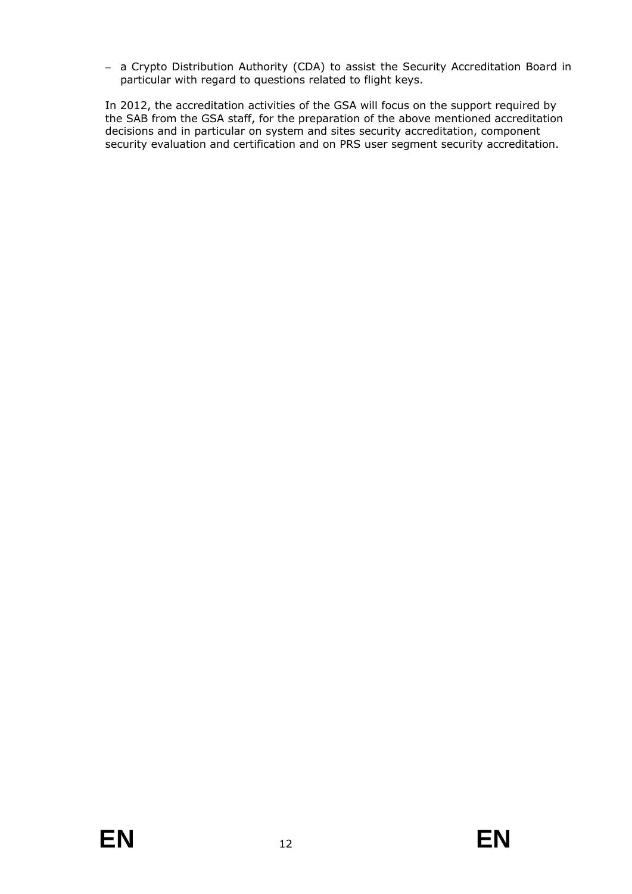– a Crypto Distribution Authority (CDA) to assist the Security Accreditation Board in particular with regard to questions related to flight keys.

In 2012, the accreditation activities of the GSA will focus on the support required by the SAB from the GSA staff, for the preparation of the above mentioned accreditation decisions and in particular on system and sites security accreditation, component security evaluation and certification and on PRS user segment security accreditation.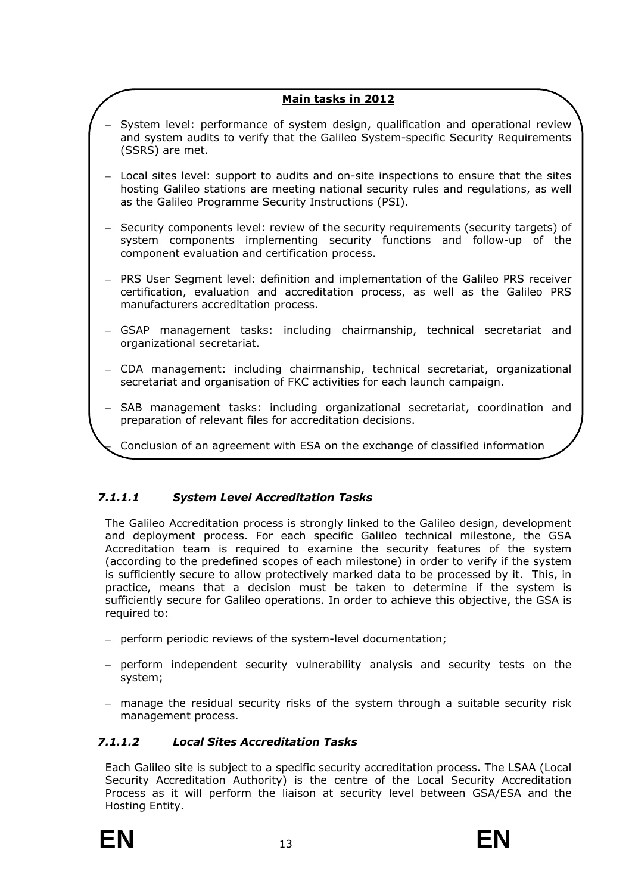# **Main tasks in 2012**

- System level: performance of system design, qualification and operational review and system audits to verify that the Galileo System-specific Security Requirements (SSRS) are met.
- Local sites level: support to audits and on-site inspections to ensure that the sites hosting Galileo stations are meeting national security rules and regulations, as well as the Galileo Programme Security Instructions (PSI).
- Security components level: review of the security requirements (security targets) of system components implementing security functions and follow-up of the component evaluation and certification process.
- PRS User Segment level: definition and implementation of the Galileo PRS receiver certification, evaluation and accreditation process, as well as the Galileo PRS manufacturers accreditation process.
- GSAP management tasks: including chairmanship, technical secretariat and organizational secretariat.
- CDA management: including chairmanship, technical secretariat, organizational secretariat and organisation of FKC activities for each launch campaign.
- SAB management tasks: including organizational secretariat, coordination and preparation of relevant files for accreditation decisions.

– Conclusion of an agreement with ESA on the exchange of classified information

# *7.1.1.1 System Level Accreditation Tasks*

The Galileo Accreditation process is strongly linked to the Galileo design, development and deployment process. For each specific Galileo technical milestone, the GSA Accreditation team is required to examine the security features of the system (according to the predefined scopes of each milestone) in order to verify if the system is sufficiently secure to allow protectively marked data to be processed by it. This, in practice, means that a decision must be taken to determine if the system is sufficiently secure for Galileo operations. In order to achieve this objective, the GSA is required to:

- perform periodic reviews of the system-level documentation;
- perform independent security vulnerability analysis and security tests on the system;
- manage the residual security risks of the system through a suitable security risk management process.

# *7.1.1.2 Local Sites Accreditation Tasks*

Each Galileo site is subject to a specific security accreditation process. The LSAA (Local Security Accreditation Authority) is the centre of the Local Security Accreditation Process as it will perform the liaison at security level between GSA/ESA and the Hosting Entity.



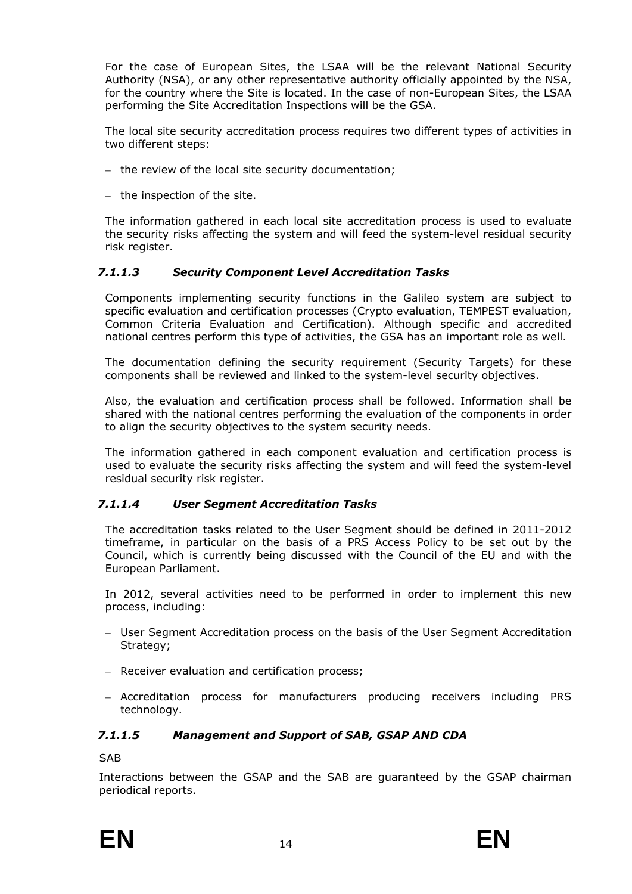For the case of European Sites, the LSAA will be the relevant National Security Authority (NSA), or any other representative authority officially appointed by the NSA, for the country where the Site is located. In the case of non-European Sites, the LSAA performing the Site Accreditation Inspections will be the GSA.

The local site security accreditation process requires two different types of activities in two different steps:

- the review of the local site security documentation;
- the inspection of the site.

The information gathered in each local site accreditation process is used to evaluate the security risks affecting the system and will feed the system-level residual security risk register.

# *7.1.1.3 Security Component Level Accreditation Tasks*

Components implementing security functions in the Galileo system are subject to specific evaluation and certification processes (Crypto evaluation, TEMPEST evaluation, Common Criteria Evaluation and Certification). Although specific and accredited national centres perform this type of activities, the GSA has an important role as well.

The documentation defining the security requirement (Security Targets) for these components shall be reviewed and linked to the system-level security objectives.

Also, the evaluation and certification process shall be followed. Information shall be shared with the national centres performing the evaluation of the components in order to align the security objectives to the system security needs.

The information gathered in each component evaluation and certification process is used to evaluate the security risks affecting the system and will feed the system-level residual security risk register.

# *7.1.1.4 User Segment Accreditation Tasks*

The accreditation tasks related to the User Segment should be defined in 2011-2012 timeframe, in particular on the basis of a PRS Access Policy to be set out by the Council, which is currently being discussed with the Council of the EU and with the European Parliament.

In 2012, several activities need to be performed in order to implement this new process, including:

- User Segment Accreditation process on the basis of the User Segment Accreditation Strategy;
- Receiver evaluation and certification process;
- Accreditation process for manufacturers producing receivers including PRS technology.

# *7.1.1.5 Management and Support of SAB, GSAP AND CDA*

SAB

Interactions between the GSAP and the SAB are guaranteed by the GSAP chairman periodical reports.

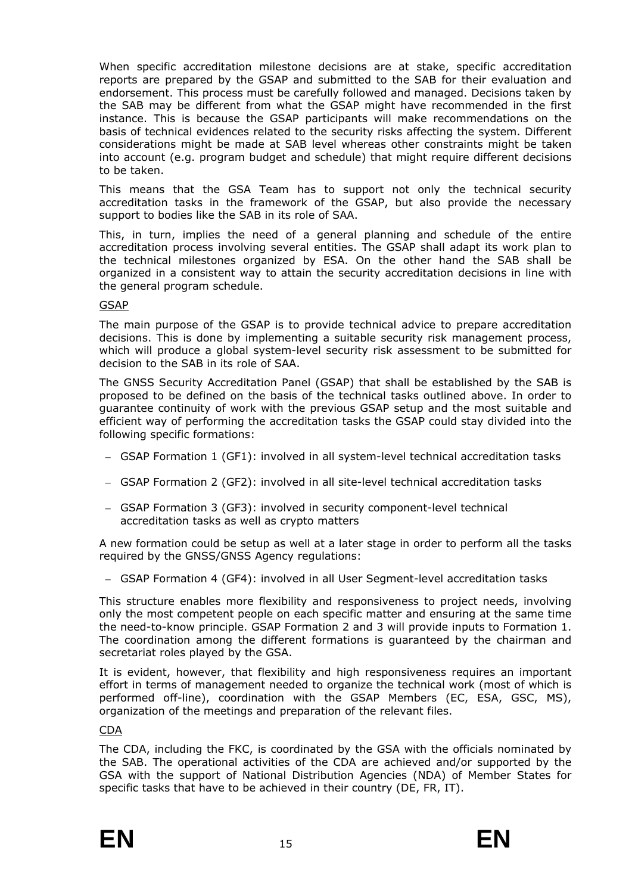When specific accreditation milestone decisions are at stake, specific accreditation reports are prepared by the GSAP and submitted to the SAB for their evaluation and endorsement. This process must be carefully followed and managed. Decisions taken by the SAB may be different from what the GSAP might have recommended in the first instance. This is because the GSAP participants will make recommendations on the basis of technical evidences related to the security risks affecting the system. Different considerations might be made at SAB level whereas other constraints might be taken into account (e.g. program budget and schedule) that might require different decisions to be taken.

This means that the GSA Team has to support not only the technical security accreditation tasks in the framework of the GSAP, but also provide the necessary support to bodies like the SAB in its role of SAA.

This, in turn, implies the need of a general planning and schedule of the entire accreditation process involving several entities. The GSAP shall adapt its work plan to the technical milestones organized by ESA. On the other hand the SAB shall be organized in a consistent way to attain the security accreditation decisions in line with the general program schedule.

#### GSAP

The main purpose of the GSAP is to provide technical advice to prepare accreditation decisions. This is done by implementing a suitable security risk management process, which will produce a global system-level security risk assessment to be submitted for decision to the SAB in its role of SAA.

The GNSS Security Accreditation Panel (GSAP) that shall be established by the SAB is proposed to be defined on the basis of the technical tasks outlined above. In order to guarantee continuity of work with the previous GSAP setup and the most suitable and efficient way of performing the accreditation tasks the GSAP could stay divided into the following specific formations:

- GSAP Formation 1 (GF1): involved in all system-level technical accreditation tasks
- GSAP Formation 2 (GF2): involved in all site-level technical accreditation tasks
- GSAP Formation 3 (GF3): involved in security component-level technical accreditation tasks as well as crypto matters

A new formation could be setup as well at a later stage in order to perform all the tasks required by the GNSS/GNSS Agency regulations:

– GSAP Formation 4 (GF4): involved in all User Segment-level accreditation tasks

This structure enables more flexibility and responsiveness to project needs, involving only the most competent people on each specific matter and ensuring at the same time the need-to-know principle. GSAP Formation 2 and 3 will provide inputs to Formation 1. The coordination among the different formations is guaranteed by the chairman and secretariat roles played by the GSA.

It is evident, however, that flexibility and high responsiveness requires an important effort in terms of management needed to organize the technical work (most of which is performed off-line), coordination with the GSAP Members (EC, ESA, GSC, MS), organization of the meetings and preparation of the relevant files.

#### CDA

The CDA, including the FKC, is coordinated by the GSA with the officials nominated by the SAB. The operational activities of the CDA are achieved and/or supported by the GSA with the support of National Distribution Agencies (NDA) of Member States for specific tasks that have to be achieved in their country (DE, FR, IT).



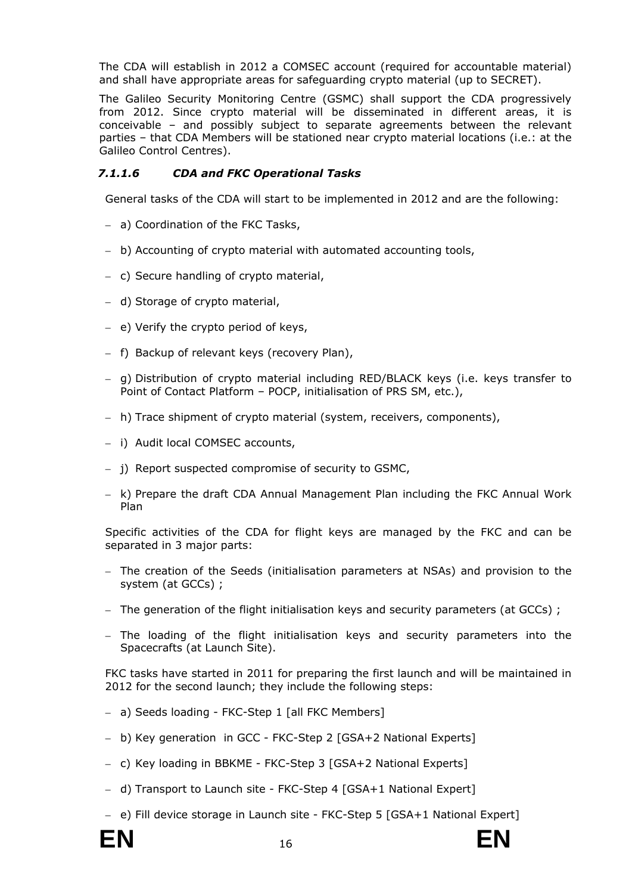The CDA will establish in 2012 a COMSEC account (required for accountable material) and shall have appropriate areas for safeguarding crypto material (up to SECRET).

The Galileo Security Monitoring Centre (GSMC) shall support the CDA progressively from 2012. Since crypto material will be disseminated in different areas, it is conceivable – and possibly subject to separate agreements between the relevant parties – that CDA Members will be stationed near crypto material locations (i.e.: at the Galileo Control Centres).

# *7.1.1.6 CDA and FKC Operational Tasks*

General tasks of the CDA will start to be implemented in 2012 and are the following:

- a) Coordination of the FKC Tasks,
- b) Accounting of crypto material with automated accounting tools,
- c) Secure handling of crypto material,
- d) Storage of crypto material,
- e) Verify the crypto period of keys,
- f) Backup of relevant keys (recovery Plan),
- g) Distribution of crypto material including RED/BLACK keys (i.e. keys transfer to Point of Contact Platform – POCP, initialisation of PRS SM, etc.),
- h) Trace shipment of crypto material (system, receivers, components),
- i) Audit local COMSEC accounts,
- j) Report suspected compromise of security to GSMC,
- k) Prepare the draft CDA Annual Management Plan including the FKC Annual Work Plan

Specific activities of the CDA for flight keys are managed by the FKC and can be separated in 3 major parts:

- The creation of the Seeds (initialisation parameters at NSAs) and provision to the system (at GCCs) ;
- The generation of the flight initialisation keys and security parameters (at GCCs) ;
- The loading of the flight initialisation keys and security parameters into the Spacecrafts (at Launch Site).

FKC tasks have started in 2011 for preparing the first launch and will be maintained in 2012 for the second launch; they include the following steps:

- a) Seeds loading FKC-Step 1 [all FKC Members]
- b) Key generation in GCC FKC-Step 2 [GSA+2 National Experts]
- c) Key loading in BBKME FKC-Step 3 [GSA+2 National Experts]
- d) Transport to Launch site FKC-Step 4 [GSA+1 National Expert]
- e) Fill device storage in Launch site FKC-Step 5 [GSA+1 National Expert]

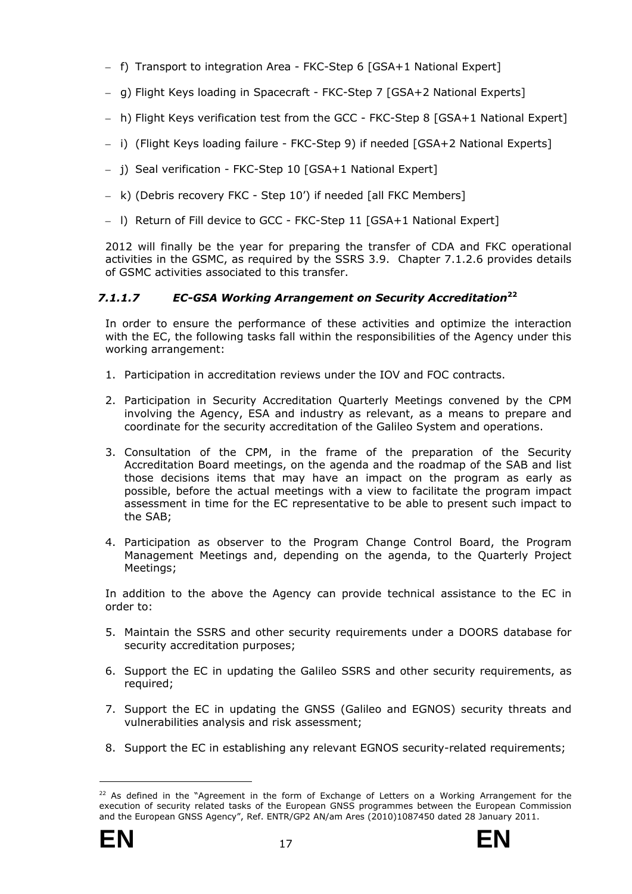- f) Transport to integration Area FKC-Step 6 [GSA+1 National Expert]
- g) Flight Keys loading in Spacecraft FKC-Step 7 [GSA+2 National Experts]
- h) Flight Keys verification test from the GCC FKC-Step 8 [GSA+1 National Expert]
- i) (Flight Keys loading failure FKC-Step 9) if needed [GSA+2 National Experts]
- j) Seal verification FKC-Step 10 [GSA+1 National Expert]
- k) (Debris recovery FKC Step 10') if needed [all FKC Members]
- l) Return of Fill device to GCC FKC-Step 11 [GSA+1 National Expert]

2012 will finally be the year for preparing the transfer of CDA and FKC operational activities in the GSMC, as required by the SSRS 3.9. Chapter 7.1.2.6 provides details of GSMC activities associated to this transfer.

# *7.1.1.7 EC-GSA Working Arrangement on Security Accreditation***<sup>22</sup>**

In order to ensure the performance of these activities and optimize the interaction with the EC, the following tasks fall within the responsibilities of the Agency under this working arrangement:

- 1. Participation in accreditation reviews under the IOV and FOC contracts.
- 2. Participation in Security Accreditation Quarterly Meetings convened by the CPM involving the Agency, ESA and industry as relevant, as a means to prepare and coordinate for the security accreditation of the Galileo System and operations.
- 3. Consultation of the CPM, in the frame of the preparation of the Security Accreditation Board meetings, on the agenda and the roadmap of the SAB and list those decisions items that may have an impact on the program as early as possible, before the actual meetings with a view to facilitate the program impact assessment in time for the EC representative to be able to present such impact to the SAB;
- 4. Participation as observer to the Program Change Control Board, the Program Management Meetings and, depending on the agenda, to the Quarterly Project Meetings;

In addition to the above the Agency can provide technical assistance to the EC in order to:

- 5. Maintain the SSRS and other security requirements under a DOORS database for security accreditation purposes;
- 6. Support the EC in updating the Galileo SSRS and other security requirements, as required;
- 7. Support the EC in updating the GNSS (Galileo and EGNOS) security threats and vulnerabilities analysis and risk assessment;
- 8. Support the EC in establishing any relevant EGNOS security-related requirements;

<sup>&</sup>lt;sup>22</sup> As defined in the "Agreement in the form of Exchange of Letters on a Working Arrangement for the execution of security related tasks of the European GNSS programmes between the European Commission and the European GNSS Agency", Ref. ENTR/GP2 AN/am Ares (2010)1087450 dated 28 January 2011.

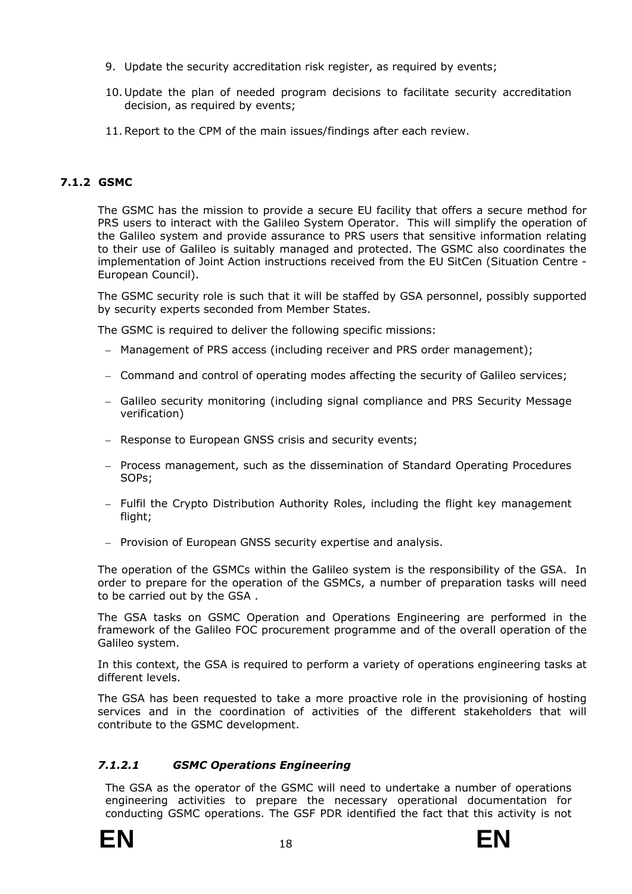- 9. Update the security accreditation risk register, as required by events;
- 10. Update the plan of needed program decisions to facilitate security accreditation decision, as required by events;
- 11.Report to the CPM of the main issues/findings after each review.

# <span id="page-23-0"></span>**7.1.2 GSMC**

The GSMC has the mission to provide a secure EU facility that offers a secure method for PRS users to interact with the Galileo System Operator. This will simplify the operation of the Galileo system and provide assurance to PRS users that sensitive information relating to their use of Galileo is suitably managed and protected. The GSMC also coordinates the implementation of Joint Action instructions received from the EU SitCen (Situation Centre - European Council).

The GSMC security role is such that it will be staffed by GSA personnel, possibly supported by security experts seconded from Member States.

The GSMC is required to deliver the following specific missions:

- Management of PRS access (including receiver and PRS order management);
- Command and control of operating modes affecting the security of Galileo services;
- Galileo security monitoring (including signal compliance and PRS Security Message verification)
- Response to European GNSS crisis and security events;
- Process management, such as the dissemination of Standard Operating Procedures SOPs;
- Fulfil the Crypto Distribution Authority Roles, including the flight key management flight;
- Provision of European GNSS security expertise and analysis.

The operation of the GSMCs within the Galileo system is the responsibility of the GSA. In order to prepare for the operation of the GSMCs, a number of preparation tasks will need to be carried out by the GSA .

The GSA tasks on GSMC Operation and Operations Engineering are performed in the framework of the Galileo FOC procurement programme and of the overall operation of the Galileo system.

In this context, the GSA is required to perform a variety of operations engineering tasks at different levels.

The GSA has been requested to take a more proactive role in the provisioning of hosting services and in the coordination of activities of the different stakeholders that will contribute to the GSMC development.

# *7.1.2.1 GSMC Operations Engineering*

The GSA as the operator of the GSMC will need to undertake a number of operations engineering activities to prepare the necessary operational documentation for conducting GSMC operations. The GSF PDR identified the fact that this activity is not



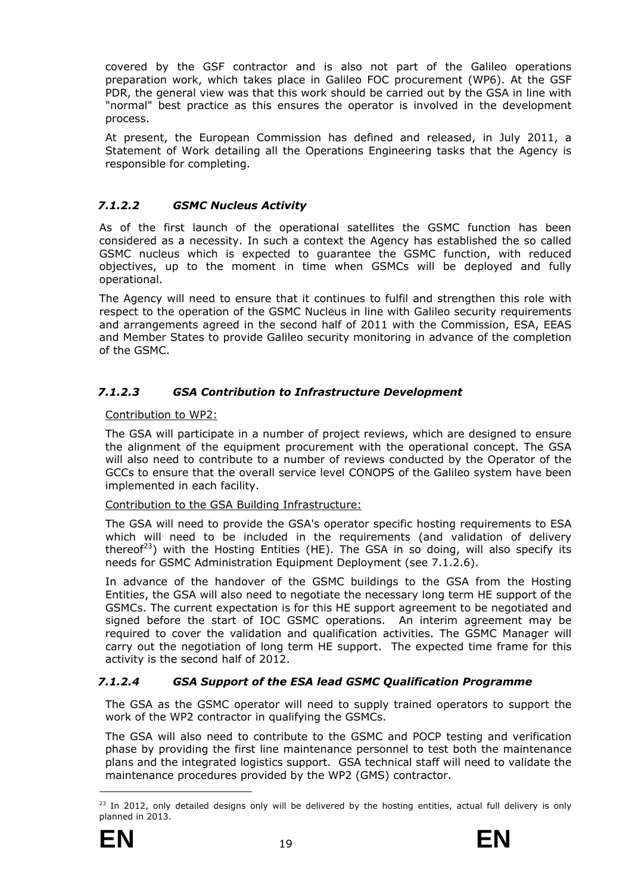covered by the GSF contractor and is also not part of the Galileo operations preparation work, which takes place in Galileo FOC procurement (WP6). At the GSF PDR, the general view was that this work should be carried out by the GSA in line with "normal" best practice as this ensures the operator is involved in the development process.

At present, the European Commission has defined and released, in July 2011, a Statement of Work detailing all the Operations Engineering tasks that the Agency is responsible for completing.

# *7.1.2.2 GSMC Nucleus Activity*

As of the first launch of the operational satellites the GSMC function has been considered as a necessity. In such a context the Agency has established the so called GSMC nucleus which is expected to guarantee the GSMC function, with reduced objectives, up to the moment in time when GSMCs will be deployed and fully operational.

The Agency will need to ensure that it continues to fulfil and strengthen this role with respect to the operation of the GSMC Nucleus in line with Galileo security requirements and arrangements agreed in the second half of 2011 with the Commission, ESA, EEAS and Member States to provide Galileo security monitoring in advance of the completion of the GSMC.

# *7.1.2.3 GSA Contribution to Infrastructure Development*

Contribution to WP2:

The GSA will participate in a number of project reviews, which are designed to ensure the alignment of the equipment procurement with the operational concept. The GSA will also need to contribute to a number of reviews conducted by the Operator of the GCCs to ensure that the overall service level CONOPS of the Galileo system have been implemented in each facility.

# Contribution to the GSA Building Infrastructure:

The GSA will need to provide the GSA's operator specific hosting requirements to ESA which will need to be included in the requirements (and validation of delivery thereof<sup>23</sup>) with the Hosting Entities (HE). The GSA in so doing, will also specify its needs for GSMC Administration Equipment Deployment (see 7.1.2.6).

In advance of the handover of the GSMC buildings to the GSA from the Hosting Entities, the GSA will also need to negotiate the necessary long term HE support of the GSMCs. The current expectation is for this HE support agreement to be negotiated and signed before the start of IOC GSMC operations. An interim agreement may be required to cover the validation and qualification activities. The GSMC Manager will carry out the negotiation of long term HE support. The expected time frame for this activity is the second half of 2012.

# *7.1.2.4 GSA Support of the ESA lead GSMC Qualification Programme*

The GSA as the GSMC operator will need to supply trained operators to support the work of the WP2 contractor in qualifying the GSMCs.

The GSA will also need to contribute to the GSMC and POCP testing and verification phase by providing the first line maintenance personnel to test both the maintenance plans and the integrated logistics support. GSA technical staff will need to validate the maintenance procedures provided by the WP2 (GMS) contractor.



<sup>&</sup>lt;sup>23</sup> In 2012, only detailed designs only will be delivered by the hosting entities, actual full delivery is only planned in 2013.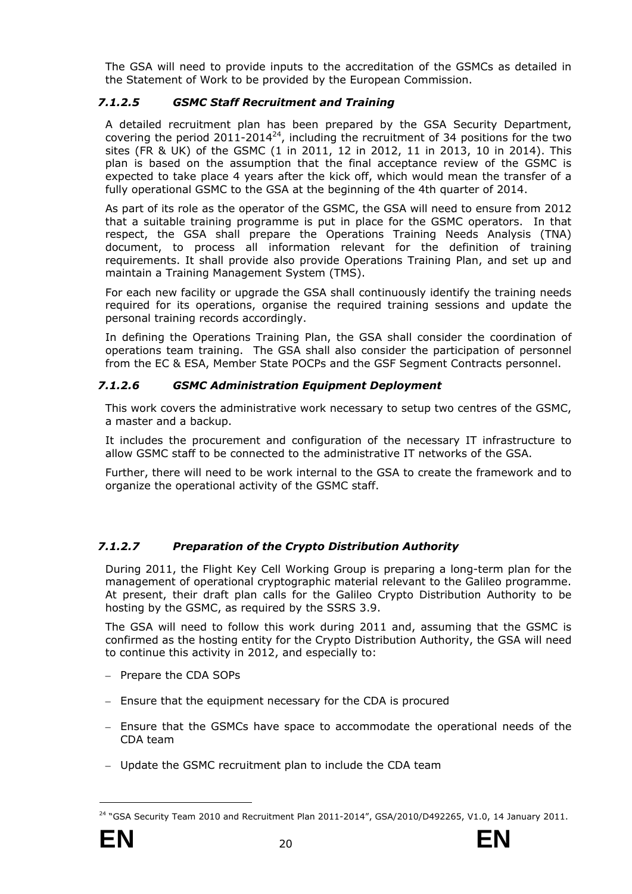The GSA will need to provide inputs to the accreditation of the GSMCs as detailed in the Statement of Work to be provided by the European Commission.

# *7.1.2.5 GSMC Staff Recruitment and Training*

A detailed recruitment plan has been prepared by the GSA Security Department, covering the period 2011-2014<sup>24</sup>, including the recruitment of 34 positions for the two sites (FR & UK) of the GSMC (1 in 2011, 12 in 2012, 11 in 2013, 10 in 2014). This plan is based on the assumption that the final acceptance review of the GSMC is expected to take place 4 years after the kick off, which would mean the transfer of a fully operational GSMC to the GSA at the beginning of the 4th quarter of 2014.

As part of its role as the operator of the GSMC, the GSA will need to ensure from 2012 that a suitable training programme is put in place for the GSMC operators. In that respect, the GSA shall prepare the Operations Training Needs Analysis (TNA) document, to process all information relevant for the definition of training requirements. It shall provide also provide Operations Training Plan, and set up and maintain a Training Management System (TMS).

For each new facility or upgrade the GSA shall continuously identify the training needs required for its operations, organise the required training sessions and update the personal training records accordingly.

In defining the Operations Training Plan, the GSA shall consider the coordination of operations team training. The GSA shall also consider the participation of personnel from the EC & ESA, Member State POCPs and the GSF Segment Contracts personnel.

# *7.1.2.6 GSMC Administration Equipment Deployment*

This work covers the administrative work necessary to setup two centres of the GSMC, a master and a backup.

It includes the procurement and configuration of the necessary IT infrastructure to allow GSMC staff to be connected to the administrative IT networks of the GSA.

Further, there will need to be work internal to the GSA to create the framework and to organize the operational activity of the GSMC staff.

# *7.1.2.7 Preparation of the Crypto Distribution Authority*

During 2011, the Flight Key Cell Working Group is preparing a long-term plan for the management of operational cryptographic material relevant to the Galileo programme. At present, their draft plan calls for the Galileo Crypto Distribution Authority to be hosting by the GSMC, as required by the SSRS 3.9.

The GSA will need to follow this work during 2011 and, assuming that the GSMC is confirmed as the hosting entity for the Crypto Distribution Authority, the GSA will need to continue this activity in 2012, and especially to:

- Prepare the CDA SOPs
- Ensure that the equipment necessary for the CDA is procured
- Ensure that the GSMCs have space to accommodate the operational needs of the CDA team
- Update the GSMC recruitment plan to include the CDA team

<sup>&</sup>lt;sup>24</sup> "GSA Security Team 2010 and Recruitment Plan 2011-2014", GSA/2010/D492265, V1.0, 14 January 2011.

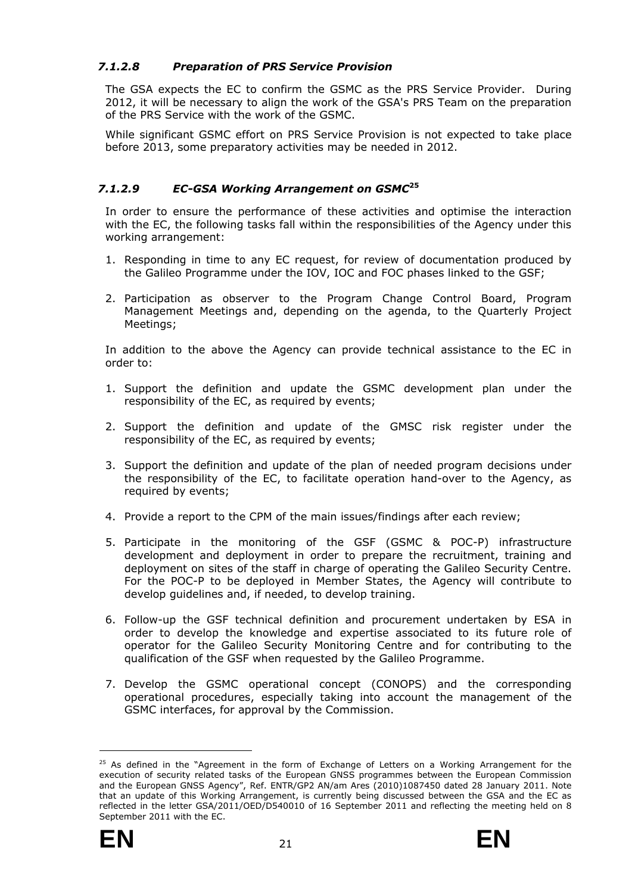# *7.1.2.8 Preparation of PRS Service Provision*

The GSA expects the EC to confirm the GSMC as the PRS Service Provider. During 2012, it will be necessary to align the work of the GSA's PRS Team on the preparation of the PRS Service with the work of the GSMC.

While significant GSMC effort on PRS Service Provision is not expected to take place before 2013, some preparatory activities may be needed in 2012.

# *7.1.2.9 EC-GSA Working Arrangement on GSMC***<sup>25</sup>**

In order to ensure the performance of these activities and optimise the interaction with the EC, the following tasks fall within the responsibilities of the Agency under this working arrangement:

- 1. Responding in time to any EC request, for review of documentation produced by the Galileo Programme under the IOV, IOC and FOC phases linked to the GSF;
- 2. Participation as observer to the Program Change Control Board, Program Management Meetings and, depending on the agenda, to the Quarterly Project Meetings;

In addition to the above the Agency can provide technical assistance to the EC in order to:

- 1. Support the definition and update the GSMC development plan under the responsibility of the EC, as required by events;
- 2. Support the definition and update of the GMSC risk register under the responsibility of the EC, as required by events;
- 3. Support the definition and update of the plan of needed program decisions under the responsibility of the EC, to facilitate operation hand-over to the Agency, as required by events;
- 4. Provide a report to the CPM of the main issues/findings after each review;
- 5. Participate in the monitoring of the GSF (GSMC & POC-P) infrastructure development and deployment in order to prepare the recruitment, training and deployment on sites of the staff in charge of operating the Galileo Security Centre. For the POC-P to be deployed in Member States, the Agency will contribute to develop guidelines and, if needed, to develop training.
- 6. Follow-up the GSF technical definition and procurement undertaken by ESA in order to develop the knowledge and expertise associated to its future role of operator for the Galileo Security Monitoring Centre and for contributing to the qualification of the GSF when requested by the Galileo Programme.
- 7. Develop the GSMC operational concept (CONOPS) and the corresponding operational procedures, especially taking into account the management of the GSMC interfaces, for approval by the Commission.

<sup>&</sup>lt;sup>25</sup> As defined in the "Agreement in the form of Exchange of Letters on a Working Arrangement for the execution of security related tasks of the European GNSS programmes between the European Commission and the European GNSS Agency", Ref. ENTR/GP2 AN/am Ares (2010)1087450 dated 28 January 2011. Note that an update of this Working Arrangement, is currently being discussed between the GSA and the EC as reflected in the letter GSA/2011/OED/D540010 of 16 September 2011 and reflecting the meeting held on 8 September 2011 with the EC.

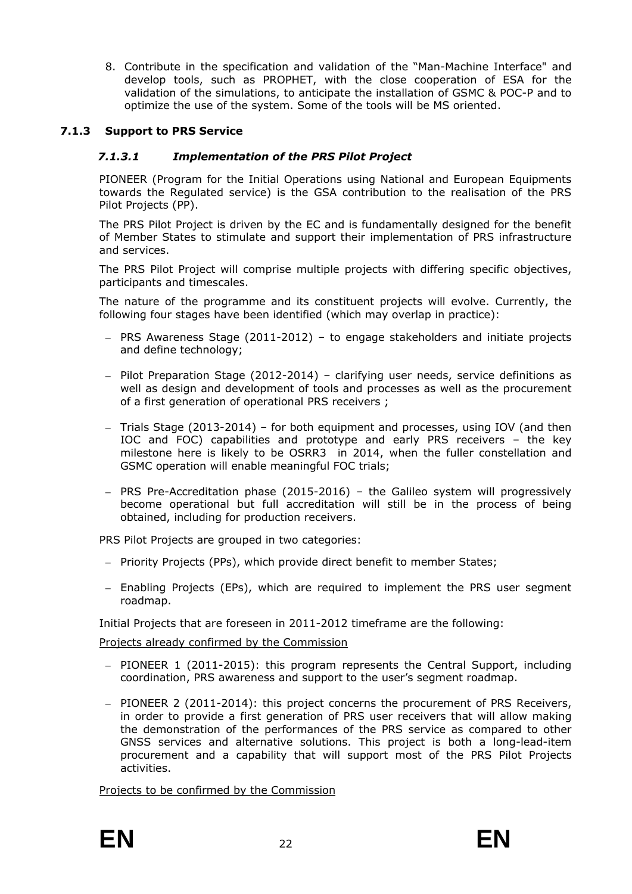8. Contribute in the specification and validation of the "Man-Machine Interface" and develop tools, such as PROPHET, with the close cooperation of ESA for the validation of the simulations, to anticipate the installation of GSMC & POC-P and to optimize the use of the system. Some of the tools will be MS oriented.

# <span id="page-27-0"></span>**7.1.3 Support to PRS Service**

# *7.1.3.1 Implementation of the PRS Pilot Project*

PIONEER (Program for the Initial Operations using National and European Equipments towards the Regulated service) is the GSA contribution to the realisation of the PRS Pilot Projects (PP).

The PRS Pilot Project is driven by the EC and is fundamentally designed for the benefit of Member States to stimulate and support their implementation of PRS infrastructure and services.

The PRS Pilot Project will comprise multiple projects with differing specific objectives, participants and timescales.

The nature of the programme and its constituent projects will evolve. Currently, the following four stages have been identified (which may overlap in practice):

- PRS Awareness Stage  $(2011-2012)$  to engage stakeholders and initiate projects and define technology;
- Pilot Preparation Stage (2012-2014) clarifying user needs, service definitions as well as design and development of tools and processes as well as the procurement of a first generation of operational PRS receivers ;
- Trials Stage (2013-2014) for both equipment and processes, using IOV (and then IOC and FOC) capabilities and prototype and early PRS receivers – the key milestone here is likely to be OSRR3 in 2014, when the fuller constellation and GSMC operation will enable meaningful FOC trials;
- PRS Pre-Accreditation phase (2015-2016) the Galileo system will progressively become operational but full accreditation will still be in the process of being obtained, including for production receivers.

PRS Pilot Projects are grouped in two categories:

- Priority Projects (PPs), which provide direct benefit to member States;
- Enabling Projects (EPs), which are required to implement the PRS user segment roadmap.

Initial Projects that are foreseen in 2011-2012 timeframe are the following:

Projects already confirmed by the Commission

- PIONEER 1 (2011-2015): this program represents the Central Support, including coordination, PRS awareness and support to the user's segment roadmap.
- PIONEER 2 (2011-2014): this project concerns the procurement of PRS Receivers, in order to provide a first generation of PRS user receivers that will allow making the demonstration of the performances of the PRS service as compared to other GNSS services and alternative solutions. This project is both a long-lead-item procurement and a capability that will support most of the PRS Pilot Projects activities.

Projects to be confirmed by the Commission

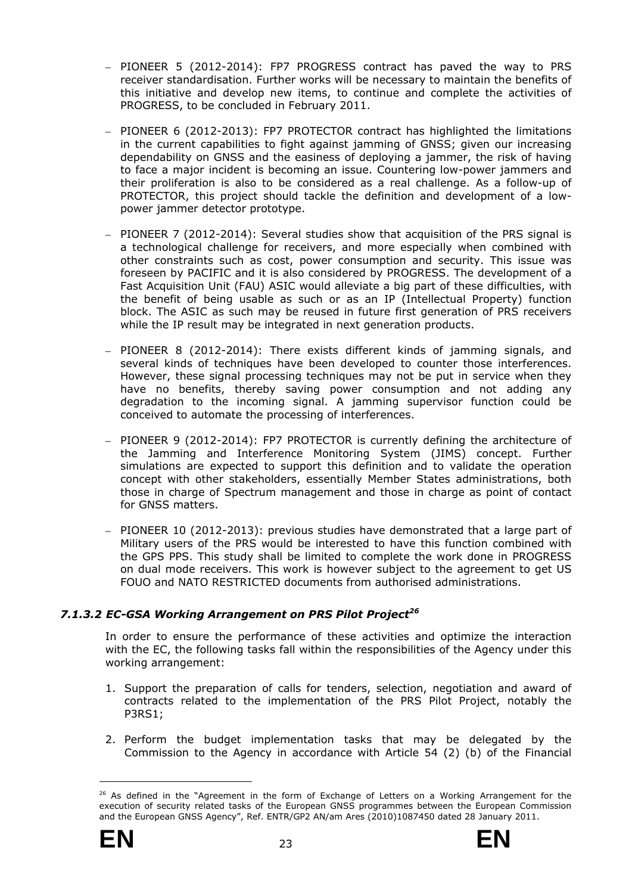- PIONEER 5 (2012-2014): FP7 PROGRESS contract has paved the way to PRS receiver standardisation. Further works will be necessary to maintain the benefits of this initiative and develop new items, to continue and complete the activities of PROGRESS, to be concluded in February 2011.
- PIONEER 6 (2012-2013): FP7 PROTECTOR contract has highlighted the limitations in the current capabilities to fight against jamming of GNSS; given our increasing dependability on GNSS and the easiness of deploying a jammer, the risk of having to face a major incident is becoming an issue. Countering low-power jammers and their proliferation is also to be considered as a real challenge. As a follow-up of PROTECTOR, this project should tackle the definition and development of a lowpower jammer detector prototype.
- PIONEER 7 (2012-2014): Several studies show that acquisition of the PRS signal is a technological challenge for receivers, and more especially when combined with other constraints such as cost, power consumption and security. This issue was foreseen by PACIFIC and it is also considered by PROGRESS. The development of a Fast Acquisition Unit (FAU) ASIC would alleviate a big part of these difficulties, with the benefit of being usable as such or as an IP (Intellectual Property) function block. The ASIC as such may be reused in future first generation of PRS receivers while the IP result may be integrated in next generation products.
- PIONEER 8 (2012-2014): There exists different kinds of jamming signals, and several kinds of techniques have been developed to counter those interferences. However, these signal processing techniques may not be put in service when they have no benefits, thereby saving power consumption and not adding any degradation to the incoming signal. A jamming supervisor function could be conceived to automate the processing of interferences.
- PIONEER 9 (2012-2014): FP7 PROTECTOR is currently defining the architecture of the Jamming and Interference Monitoring System (JIMS) concept. Further simulations are expected to support this definition and to validate the operation concept with other stakeholders, essentially Member States administrations, both those in charge of Spectrum management and those in charge as point of contact for GNSS matters.
- PIONEER 10 (2012-2013): previous studies have demonstrated that a large part of Military users of the PRS would be interested to have this function combined with the GPS PPS. This study shall be limited to complete the work done in PROGRESS on dual mode receivers. This work is however subject to the agreement to get US FOUO and NATO RESTRICTED documents from authorised administrations.

# 7.1.3.2 EC-GSA Working Arrangement on PRS Pilot Project<sup>26</sup>

In order to ensure the performance of these activities and optimize the interaction with the EC, the following tasks fall within the responsibilities of the Agency under this working arrangement:

- 1. Support the preparation of calls for tenders, selection, negotiation and award of contracts related to the implementation of the PRS Pilot Project, notably the P3RS1;
- 2. Perform the budget implementation tasks that may be delegated by the Commission to the Agency in accordance with Article 54 (2) (b) of the Financial

<sup>&</sup>lt;sup>26</sup> As defined in the "Agreement in the form of Exchange of Letters on a Working Arrangement for the execution of security related tasks of the European GNSS programmes between the European Commission and the European GNSS Agency", Ref. ENTR/GP2 AN/am Ares (2010)1087450 dated 28 January 2011.

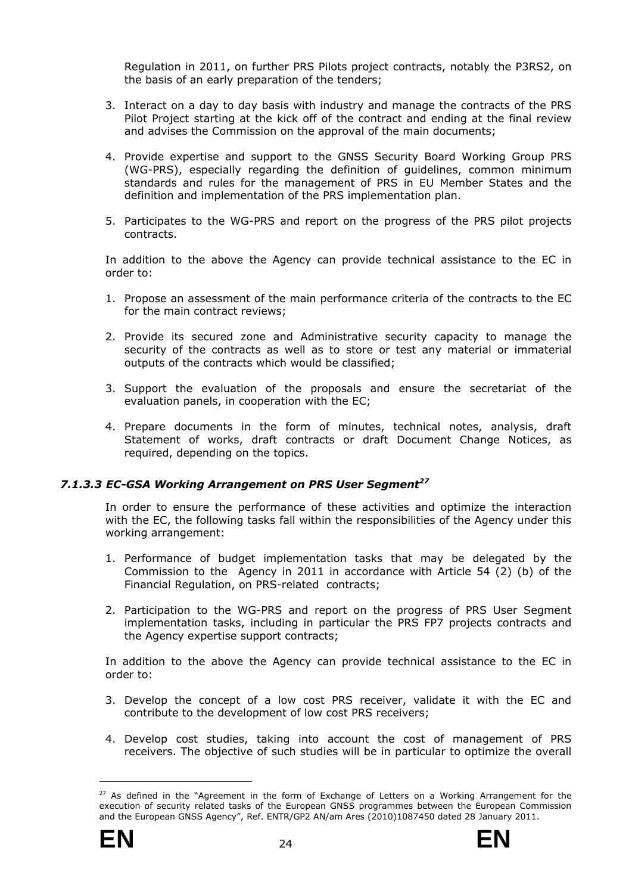Regulation in 2011, on further PRS Pilots project contracts, notably the P3RS2, on the basis of an early preparation of the tenders;

- 3. Interact on a day to day basis with industry and manage the contracts of the PRS Pilot Project starting at the kick off of the contract and ending at the final review and advises the Commission on the approval of the main documents;
- 4. Provide expertise and support to the GNSS Security Board Working Group PRS (WG-PRS), especially regarding the definition of guidelines, common minimum standards and rules for the management of PRS in EU Member States and the definition and implementation of the PRS implementation plan.
- 5. Participates to the WG-PRS and report on the progress of the PRS pilot projects contracts.

In addition to the above the Agency can provide technical assistance to the EC in order to:

- 1. Propose an assessment of the main performance criteria of the contracts to the EC for the main contract reviews;
- 2. Provide its secured zone and Administrative security capacity to manage the security of the contracts as well as to store or test any material or immaterial outputs of the contracts which would be classified;
- 3. Support the evaluation of the proposals and ensure the secretariat of the evaluation panels, in cooperation with the EC;
- 4. Prepare documents in the form of minutes, technical notes, analysis, draft Statement of works, draft contracts or draft Document Change Notices, as required, depending on the topics.

# *7.1.3.3 EC-GSA Working Arrangement on PRS User Segment27*

In order to ensure the performance of these activities and optimize the interaction with the EC, the following tasks fall within the responsibilities of the Agency under this working arrangement:

- 1. Performance of budget implementation tasks that may be delegated by the Commission to the Agency in 2011 in accordance with Article 54 (2) (b) of the Financial Regulation, on PRS-related contracts;
- 2. Participation to the WG-PRS and report on the progress of PRS User Segment implementation tasks, including in particular the PRS FP7 projects contracts and the Agency expertise support contracts;

In addition to the above the Agency can provide technical assistance to the EC in order to:

- 3. Develop the concept of a low cost PRS receiver, validate it with the EC and contribute to the development of low cost PRS receivers;
- 4. Develop cost studies, taking into account the cost of management of PRS receivers. The objective of such studies will be in particular to optimize the overall

<sup>&</sup>lt;sup>27</sup> As defined in the "Agreement in the form of Exchange of Letters on a Working Arrangement for the execution of security related tasks of the European GNSS programmes between the European Commission and the European GNSS Agency", Ref. ENTR/GP2 AN/am Ares (2010)1087450 dated 28 January 2011.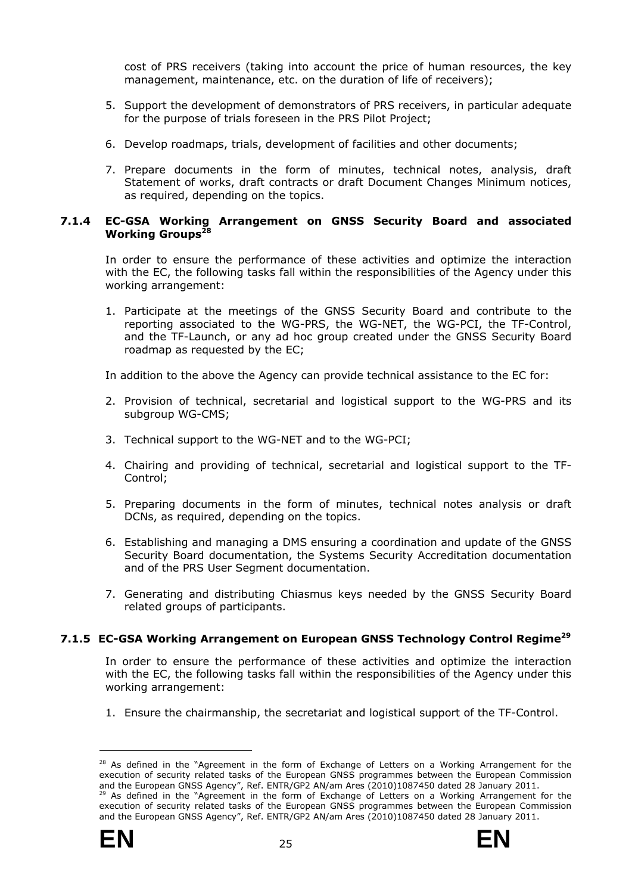cost of PRS receivers (taking into account the price of human resources, the key management, maintenance, etc. on the duration of life of receivers);

- 5. Support the development of demonstrators of PRS receivers, in particular adequate for the purpose of trials foreseen in the PRS Pilot Project;
- 6. Develop roadmaps, trials, development of facilities and other documents;
- 7. Prepare documents in the form of minutes, technical notes, analysis, draft Statement of works, draft contracts or draft Document Changes Minimum notices, as required, depending on the topics.

#### <span id="page-30-0"></span>**7.1.4 EC-GSA Working Arrangement on GNSS Security Board and associated Working Groups28**

In order to ensure the performance of these activities and optimize the interaction with the EC, the following tasks fall within the responsibilities of the Agency under this working arrangement:

1. Participate at the meetings of the GNSS Security Board and contribute to the reporting associated to the WG-PRS, the WG-NET, the WG-PCI, the TF-Control, and the TF-Launch, or any ad hoc group created under the GNSS Security Board roadmap as requested by the EC;

In addition to the above the Agency can provide technical assistance to the EC for:

- 2. Provision of technical, secretarial and logistical support to the WG-PRS and its subgroup WG-CMS;
- 3. Technical support to the WG-NET and to the WG-PCI;
- 4. Chairing and providing of technical, secretarial and logistical support to the TF-Control;
- 5. Preparing documents in the form of minutes, technical notes analysis or draft DCNs, as required, depending on the topics.
- 6. Establishing and managing a DMS ensuring a coordination and update of the GNSS Security Board documentation, the Systems Security Accreditation documentation and of the PRS User Segment documentation.
- 7. Generating and distributing Chiasmus keys needed by the GNSS Security Board related groups of participants.

# <span id="page-30-1"></span>**7.1.5 EC-GSA Working Arrangement on European GNSS Technology Control Regime<sup>29</sup>**

In order to ensure the performance of these activities and optimize the interaction with the EC, the following tasks fall within the responsibilities of the Agency under this working arrangement:

1. Ensure the chairmanship, the secretariat and logistical support of the TF-Control.



<sup>&</sup>lt;sup>28</sup> As defined in the "Agreement in the form of Exchange of Letters on a Working Arrangement for the execution of security related tasks of the European GNSS programmes between the European Commission and the European GNSS Agency", Ref. ENTR/GP2 AN/am Ares (2010)1087450 dated 28 January 2011.  $29$  As defined in the "Agreement in the form of Exchange of Letters on a Working Arrangement for the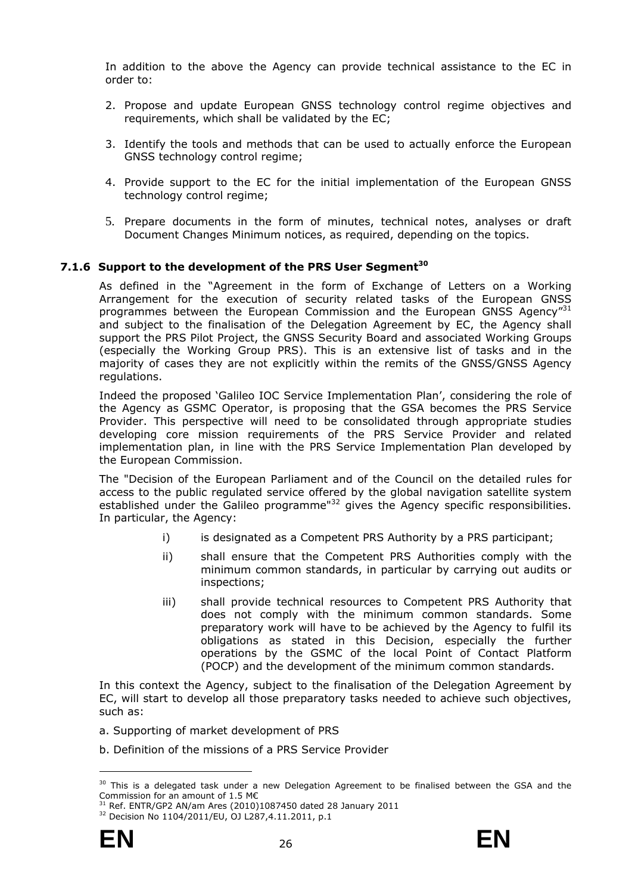In addition to the above the Agency can provide technical assistance to the EC in order to:

- 2. Propose and update European GNSS technology control regime objectives and requirements, which shall be validated by the EC;
- 3. Identify the tools and methods that can be used to actually enforce the European GNSS technology control regime;
- 4. Provide support to the EC for the initial implementation of the European GNSS technology control regime;
- 5. Prepare documents in the form of minutes, technical notes, analyses or draft Document Changes Minimum notices, as required, depending on the topics.

# <span id="page-31-0"></span>7.1.6 Support to the development of the PRS User Segment<sup>30</sup>

As defined in the "Agreement in the form of Exchange of Letters on a Working Arrangement for the execution of security related tasks of the European GNSS programmes between the European Commission and the European GNSS Agency"31 and subject to the finalisation of the Delegation Agreement by EC, the Agency shall support the PRS Pilot Project, the GNSS Security Board and associated Working Groups (especially the Working Group PRS). This is an extensive list of tasks and in the majority of cases they are not explicitly within the remits of the GNSS/GNSS Agency regulations.

Indeed the proposed 'Galileo IOC Service Implementation Plan', considering the role of the Agency as GSMC Operator, is proposing that the GSA becomes the PRS Service Provider. This perspective will need to be consolidated through appropriate studies developing core mission requirements of the PRS Service Provider and related implementation plan, in line with the PRS Service Implementation Plan developed by the European Commission.

The "Decision of the European Parliament and of the Council on the detailed rules for access to the public regulated service offered by the global navigation satellite system established under the Galileo programme<sup>"32</sup> gives the Agency specific responsibilities. In particular, the Agency:

- i) is designated as a Competent PRS Authority by a PRS participant;
- ii) shall ensure that the Competent PRS Authorities comply with the minimum common standards, in particular by carrying out audits or inspections;
- iii) shall provide technical resources to Competent PRS Authority that does not comply with the minimum common standards. Some preparatory work will have to be achieved by the Agency to fulfil its obligations as stated in this Decision, especially the further operations by the GSMC of the local Point of Contact Platform (POCP) and the development of the minimum common standards.

In this context the Agency, subject to the finalisation of the Delegation Agreement by EC, will start to develop all those preparatory tasks needed to achieve such objectives, such as:

- a. Supporting of market development of PRS
- b. Definition of the missions of a PRS Service Provider



<sup>&</sup>lt;sup>30</sup> This is a delegated task under a new Delegation Agreement to be finalised between the GSA and the Commission for an amount of 1.5 M€

<sup>&</sup>lt;sup>31</sup> Ref. ENTR/GP2 AN/am Ares (2010)1087450 dated 28 January 2011 <sup>32</sup> Decision No 1104/2011/EU, OJ L287,4.11.2011, p.1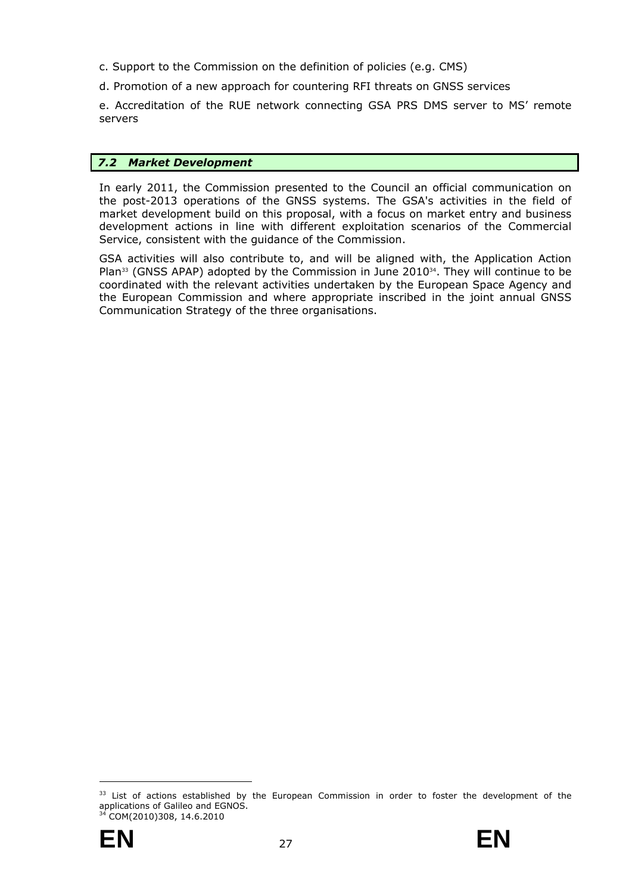- c. Support to the Commission on the definition of policies (e.g. CMS)
- d. Promotion of a new approach for countering RFI threats on GNSS services

e. Accreditation of the RUE network connecting GSA PRS DMS server to MS' remote servers

# <span id="page-32-0"></span>*7.2 Market Development*

In early 2011, the Commission presented to the Council an official communication on the post-2013 operations of the GNSS systems. The GSA's activities in the field of market development build on this proposal, with a focus on market entry and business development actions in line with different exploitation scenarios of the Commercial Service, consistent with the guidance of the Commission.

GSA activities will also contribute to, and will be aligned with, the Application Action Plan $33$  (GNSS APAP) adopted by the Commission in June 2010 $34$ . They will continue to be coordinated with the relevant activities undertaken by the European Space Agency and the European Commission and where appropriate inscribed in the joint annual GNSS Communication Strategy of the three organisations.

<sup>&</sup>lt;sup>33</sup> List of actions established by the European Commission in order to foster the development of the applications of Galileo and EGNOS. 34 COM(2010)308, 14.6.2010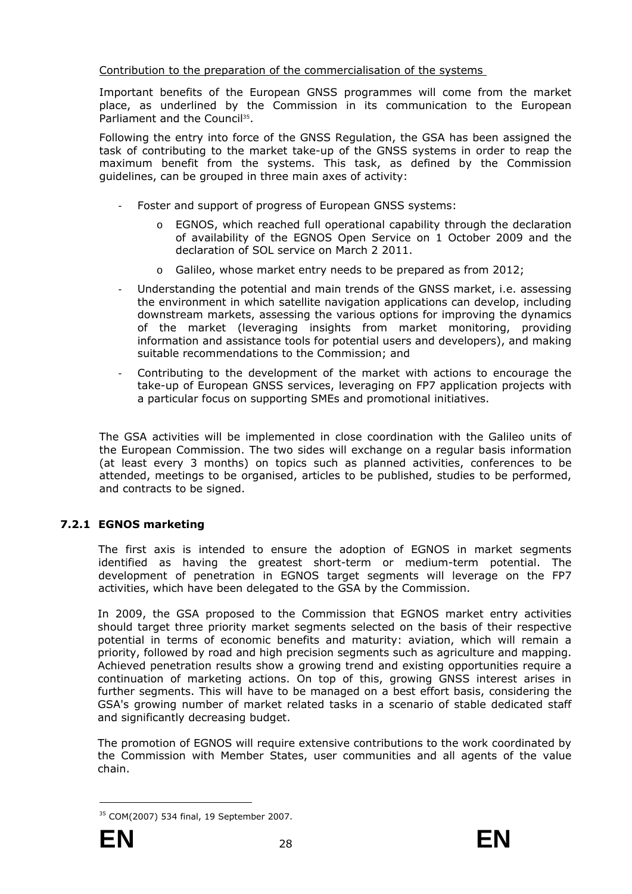# Contribution to the preparation of the commercialisation of the systems

Important benefits of the European GNSS programmes will come from the market place, as underlined by the Commission in its communication to the European Parliament and the Council<sup>35</sup>.

Following the entry into force of the GNSS Regulation, the GSA has been assigned the task of contributing to the market take-up of the GNSS systems in order to reap the maximum benefit from the systems. This task, as defined by the Commission guidelines, can be grouped in three main axes of activity:

- Foster and support of progress of European GNSS systems:
	- o EGNOS, which reached full operational capability through the declaration of availability of the EGNOS Open Service on 1 October 2009 and the declaration of SOL service on March 2 2011.
	- o Galileo, whose market entry needs to be prepared as from 2012;
- Understanding the potential and main trends of the GNSS market, i.e. assessing the environment in which satellite navigation applications can develop, including downstream markets, assessing the various options for improving the dynamics of the market (leveraging insights from market monitoring, providing information and assistance tools for potential users and developers), and making suitable recommendations to the Commission; and
- Contributing to the development of the market with actions to encourage the take-up of European GNSS services, leveraging on FP7 application projects with a particular focus on supporting SMEs and promotional initiatives.

The GSA activities will be implemented in close coordination with the Galileo units of the European Commission. The two sides will exchange on a regular basis information (at least every 3 months) on topics such as planned activities, conferences to be attended, meetings to be organised, articles to be published, studies to be performed, and contracts to be signed.

# <span id="page-33-0"></span>**7.2.1 EGNOS marketing**

The first axis is intended to ensure the adoption of EGNOS in market segments identified as having the greatest short-term or medium-term potential. The development of penetration in EGNOS target segments will leverage on the FP7 activities, which have been delegated to the GSA by the Commission.

In 2009, the GSA proposed to the Commission that EGNOS market entry activities should target three priority market segments selected on the basis of their respective potential in terms of economic benefits and maturity: aviation, which will remain a priority, followed by road and high precision segments such as agriculture and mapping. Achieved penetration results show a growing trend and existing opportunities require a continuation of marketing actions. On top of this, growing GNSS interest arises in further segments. This will have to be managed on a best effort basis, considering the GSA's growing number of market related tasks in a scenario of stable dedicated staff and significantly decreasing budget.

The promotion of EGNOS will require extensive contributions to the work coordinated by the Commission with Member States, user communities and all agents of the value chain.

<sup>35</sup> COM(2007) 534 final, 19 September 2007.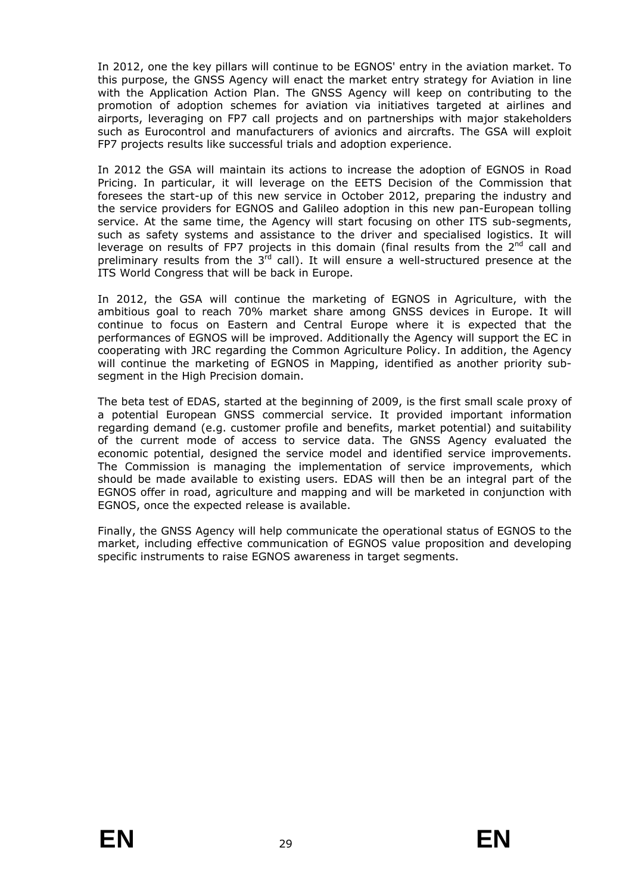In 2012, one the key pillars will continue to be EGNOS' entry in the aviation market. To this purpose, the GNSS Agency will enact the market entry strategy for Aviation in line with the Application Action Plan. The GNSS Agency will keep on contributing to the promotion of adoption schemes for aviation via initiatives targeted at airlines and airports, leveraging on FP7 call projects and on partnerships with major stakeholders such as Eurocontrol and manufacturers of avionics and aircrafts. The GSA will exploit FP7 projects results like successful trials and adoption experience.

In 2012 the GSA will maintain its actions to increase the adoption of EGNOS in Road Pricing. In particular, it will leverage on the EETS Decision of the Commission that foresees the start-up of this new service in October 2012, preparing the industry and the service providers for EGNOS and Galileo adoption in this new pan-European tolling service. At the same time, the Agency will start focusing on other ITS sub-segments, such as safety systems and assistance to the driver and specialised logistics. It will leverage on results of FP7 projects in this domain (final results from the  $2<sup>nd</sup>$  call and preliminary results from the  $3<sup>rd</sup>$  call). It will ensure a well-structured presence at the ITS World Congress that will be back in Europe.

In 2012, the GSA will continue the marketing of EGNOS in Agriculture, with the ambitious goal to reach 70% market share among GNSS devices in Europe. It will continue to focus on Eastern and Central Europe where it is expected that the performances of EGNOS will be improved. Additionally the Agency will support the EC in cooperating with JRC regarding the Common Agriculture Policy. In addition, the Agency will continue the marketing of EGNOS in Mapping, identified as another priority subsegment in the High Precision domain.

The beta test of EDAS, started at the beginning of 2009, is the first small scale proxy of a potential European GNSS commercial service. It provided important information regarding demand (e.g. customer profile and benefits, market potential) and suitability of the current mode of access to service data. The GNSS Agency evaluated the economic potential, designed the service model and identified service improvements. The Commission is managing the implementation of service improvements, which should be made available to existing users. EDAS will then be an integral part of the EGNOS offer in road, agriculture and mapping and will be marketed in conjunction with EGNOS, once the expected release is available.

Finally, the GNSS Agency will help communicate the operational status of EGNOS to the market, including effective communication of EGNOS value proposition and developing specific instruments to raise EGNOS awareness in target segments.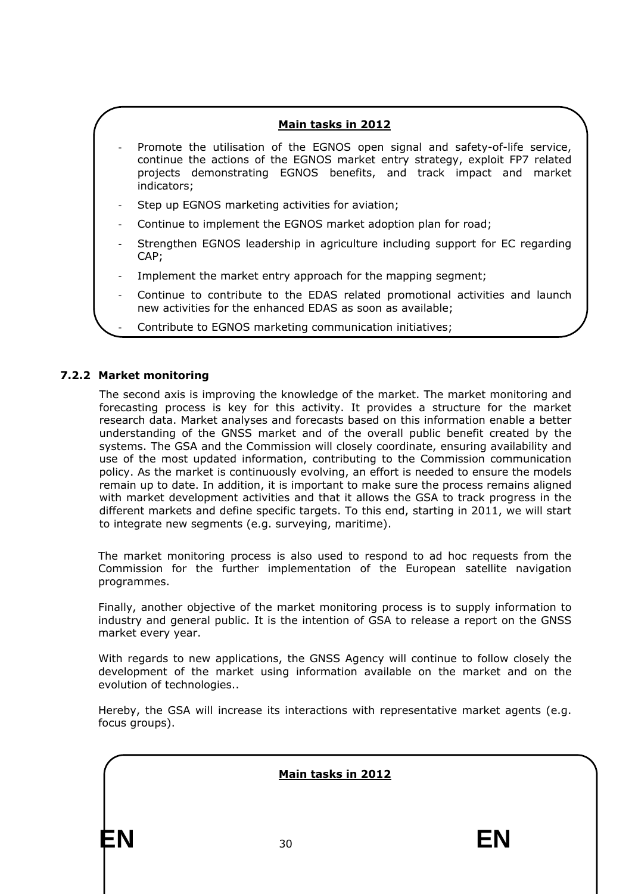# **Main tasks in 2012**

- Promote the utilisation of the EGNOS open signal and safety-of-life service, continue the actions of the EGNOS market entry strategy, exploit FP7 related projects demonstrating EGNOS benefits, and track impact and market indicators;
- Step up EGNOS marketing activities for aviation;
- Continue to implement the EGNOS market adoption plan for road;
- Strengthen EGNOS leadership in agriculture including support for EC regarding CAP;
- Implement the market entry approach for the mapping segment;
- Continue to contribute to the EDAS related promotional activities and launch new activities for the enhanced EDAS as soon as available;
	- Contribute to EGNOS marketing communication initiatives;

# <span id="page-35-0"></span>**7.2.2 Market monitoring**

The second axis is improving the knowledge of the market. The market monitoring and forecasting process is key for this activity. It provides a structure for the market research data. Market analyses and forecasts based on this information enable a better understanding of the GNSS market and of the overall public benefit created by the systems. The GSA and the Commission will closely coordinate, ensuring availability and use of the most updated information, contributing to the Commission communication policy. As the market is continuously evolving, an effort is needed to ensure the models remain up to date. In addition, it is important to make sure the process remains aligned with market development activities and that it allows the GSA to track progress in the different markets and define specific targets. To this end, starting in 2011, we will start to integrate new segments (e.g. surveying, maritime).

The market monitoring process is also used to respond to ad hoc requests from the Commission for the further implementation of the European satellite navigation programmes.

Finally, another objective of the market monitoring process is to supply information to industry and general public. It is the intention of GSA to release a report on the GNSS market every year.

With regards to new applications, the GNSS Agency will continue to follow closely the development of the market using information available on the market and on the evolution of technologies..

Hereby, the GSA will increase its interactions with representative market agents (e.g. focus groups).

**EN** 30 **EN Main tasks in 2012**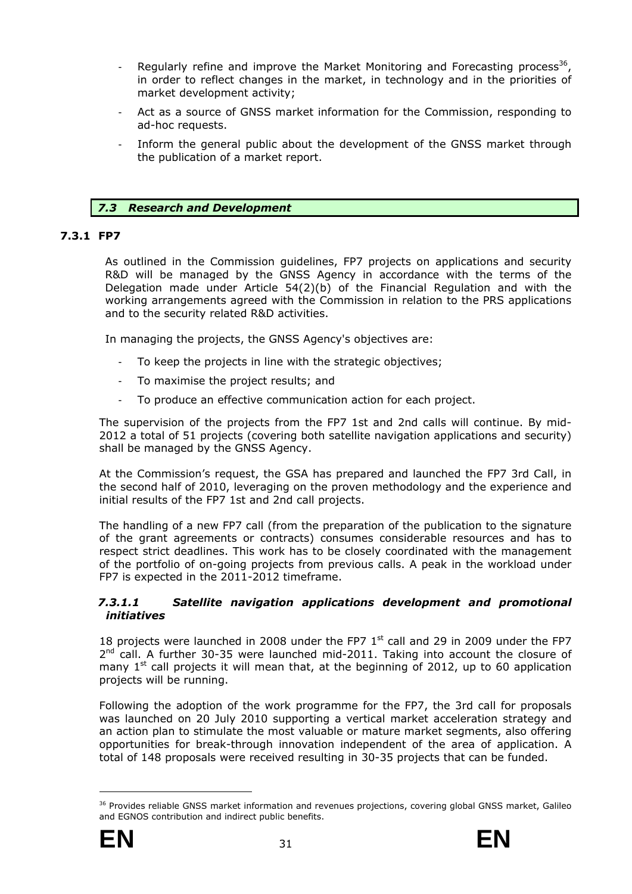- Regularly refine and improve the Market Monitoring and Forecasting process<sup>36</sup>, in order to reflect changes in the market, in technology and in the priorities of market development activity;
- Act as a source of GNSS market information for the Commission, responding to ad-hoc requests.
- Inform the general public about the development of the GNSS market through the publication of a market report.

# *7.3 Research and Development*

# <span id="page-36-1"></span><span id="page-36-0"></span>**7.3.1 FP7**

As outlined in the Commission guidelines, FP7 projects on applications and security R&D will be managed by the GNSS Agency in accordance with the terms of the Delegation made under Article 54(2)(b) of the Financial Regulation and with the working arrangements agreed with the Commission in relation to the PRS applications and to the security related R&D activities.

In managing the projects, the GNSS Agency's objectives are:

- To keep the projects in line with the strategic objectives;
- To maximise the project results; and
- To produce an effective communication action for each project.

The supervision of the projects from the FP7 1st and 2nd calls will continue. By mid-2012 a total of 51 projects (covering both satellite navigation applications and security) shall be managed by the GNSS Agency.

At the Commission's request, the GSA has prepared and launched the FP7 3rd Call, in the second half of 2010, leveraging on the proven methodology and the experience and initial results of the FP7 1st and 2nd call projects.

The handling of a new FP7 call (from the preparation of the publication to the signature of the grant agreements or contracts) consumes considerable resources and has to respect strict deadlines. This work has to be closely coordinated with the management of the portfolio of on-going projects from previous calls. A peak in the workload under FP7 is expected in the 2011-2012 timeframe.

#### *7.3.1.1 Satellite navigation applications development and promotional initiatives*

18 projects were launched in 2008 under the FP7  $1<sup>st</sup>$  call and 29 in 2009 under the FP7  $2<sup>nd</sup>$  call. A further 30-35 were launched mid-2011. Taking into account the closure of many  $1^{st}$  call projects it will mean that, at the beginning of 2012, up to 60 application projects will be running.

Following the adoption of the work programme for the FP7, the 3rd call for proposals was launched on 20 July 2010 supporting a vertical market acceleration strategy and an action plan to stimulate the most valuable or mature market segments, also offering opportunities for break-through innovation independent of the area of application. A total of 148 proposals were received resulting in 30-35 projects that can be funded.

<sup>&</sup>lt;sup>36</sup> Provides reliable GNSS market information and revenues projections, covering global GNSS market, Galileo and EGNOS contribution and indirect public benefits.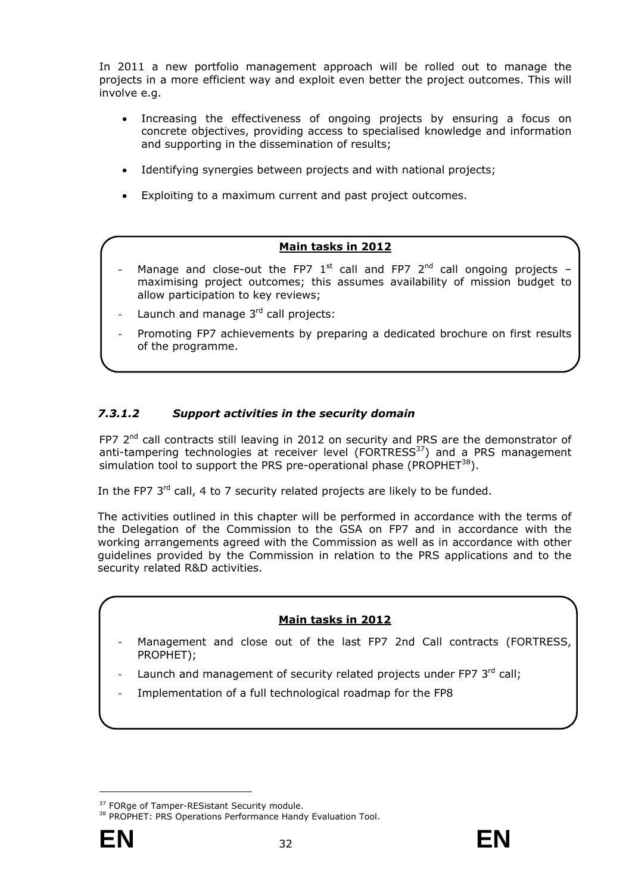In 2011 a new portfolio management approach will be rolled out to manage the projects in a more efficient way and exploit even better the project outcomes. This will involve e.g.

- Increasing the effectiveness of ongoing projects by ensuring a focus on concrete objectives, providing access to specialised knowledge and information and supporting in the dissemination of results;
- Identifying synergies between projects and with national projects;
- Exploiting to a maximum current and past project outcomes.

# **Main tasks in 2012**

- Manage and close-out the FP7  $1^{st}$  call and FP7  $2^{nd}$  call ongoing projects maximising project outcomes; this assumes availability of mission budget to allow participation to key reviews;
- Launch and manage  $3<sup>rd</sup>$  call projects:
- Promoting FP7 achievements by preparing a dedicated brochure on first results of the programme.

# *7.3.1.2 Support activities in the security domain*

FP7 2<sup>nd</sup> call contracts still leaving in 2012 on security and PRS are the demonstrator of anti-tampering technologies at receiver level ( $FORTRESS<sup>37</sup>$ ) and a PRS management simulation tool to support the PRS pre-operational phase (PROPHET $^{38}$ ).

In the FP7 3<sup>rd</sup> call, 4 to 7 security related projects are likely to be funded.

The activities outlined in this chapter will be performed in accordance with the terms of the Delegation of the Commission to the GSA on FP7 and in accordance with the working arrangements agreed with the Commission as well as in accordance with other guidelines provided by the Commission in relation to the PRS applications and to the security related R&D activities.

# **Main tasks in 2012**

- Management and close out of the last FP7 2nd Call contracts (FORTRESS, PROPHET);
- Launch and management of security related projects under FP7 3rd call;
- Implementation of a full technological roadmap for the FP8

<sup>&</sup>lt;sup>37</sup> FORge of Tamper-RESistant Security module.<br><sup>38</sup> PROPHET: PRS Operations Performance Handy Evaluation Tool.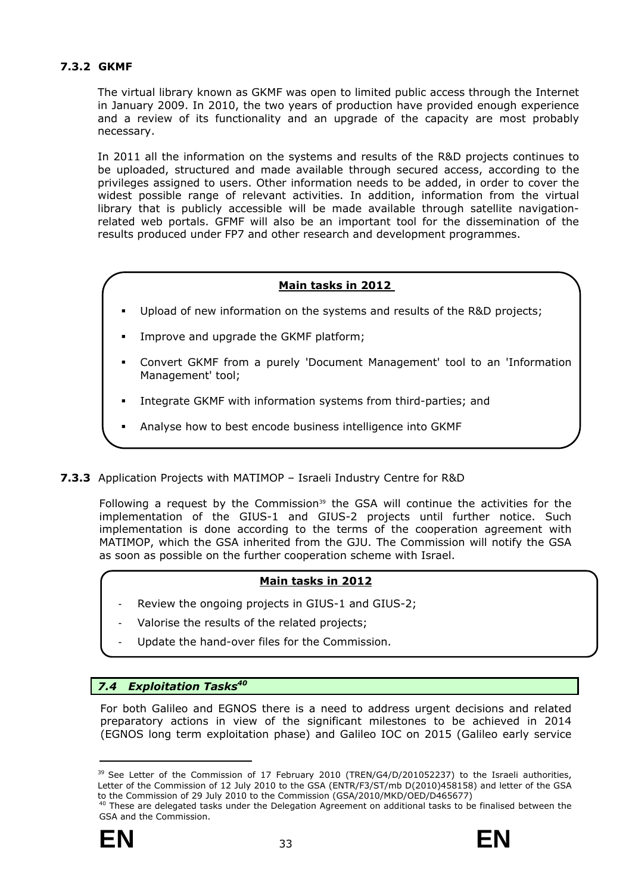# <span id="page-38-0"></span>**7.3.2 GKMF**

The virtual library known as GKMF was open to limited public access through the Internet in January 2009. In 2010, the two years of production have provided enough experience and a review of its functionality and an upgrade of the capacity are most probably necessary.

In 2011 all the information on the systems and results of the R&D projects continues to be uploaded, structured and made available through secured access, according to the privileges assigned to users. Other information needs to be added, in order to cover the widest possible range of relevant activities. In addition, information from the virtual library that is publicly accessible will be made available through satellite navigationrelated web portals. GFMF will also be an important tool for the dissemination of the results produced under FP7 and other research and development programmes.

# **Main tasks in 2012**

- Upload of new information on the systems and results of the R&D projects;
- Improve and upgrade the GKMF platform;
- Convert GKMF from a purely 'Document Management' tool to an 'Information Management' tool;
- Integrate GKMF with information systems from third-parties; and
- Analyse how to best encode business intelligence into GKMF
- <span id="page-38-1"></span>**7.3.3** Application Projects with MATIMOP – Israeli Industry Centre for R&D

Following a request by the Commission<sup>39</sup> the GSA will continue the activities for the implementation of the GIUS-1 and GIUS-2 projects until further notice. Such implementation is done according to the terms of the cooperation agreement with MATIMOP, which the GSA inherited from the GJU. The Commission will notify the GSA as soon as possible on the further cooperation scheme with Israel.

# **Main tasks in 2012**

- Review the ongoing projects in GIUS-1 and GIUS-2;
- Valorise the results of the related projects;
- Update the hand-over files for the Commission.

# <span id="page-38-2"></span>7.4 **Exploitation Tasks<sup>40</sup>**

For both Galileo and EGNOS there is a need to address urgent decisions and related preparatory actions in view of the significant milestones to be achieved in 2014 (EGNOS long term exploitation phase) and Galileo IOC on 2015 (Galileo early service

<sup>&</sup>lt;sup>40</sup> These are delegated tasks under the Delegation Agreement on additional tasks to be finalised between the GSA and the Commission.



<sup>&</sup>lt;sup>39</sup> See Letter of the Commission of 17 February 2010 (TREN/G4/D/201052237) to the Israeli authorities, Letter of the Commission of 12 July 2010 to the GSA (ENTR/F3/ST/mb D(2010)458158) and letter of the GSA to the Commission of 29 July 2010 to the Commission (GSA/2010/MKD/OED/D465677)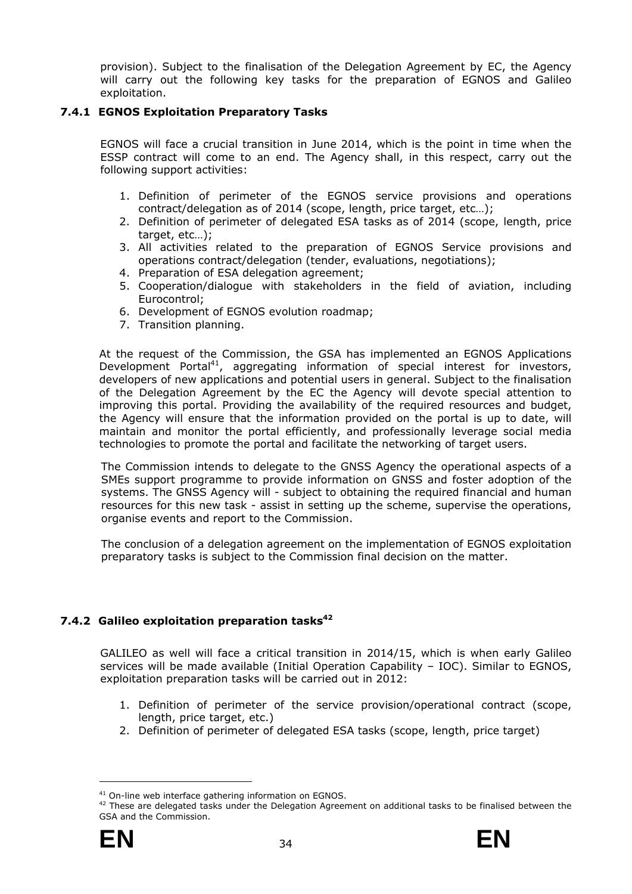provision). Subject to the finalisation of the Delegation Agreement by EC, the Agency will carry out the following key tasks for the preparation of EGNOS and Galileo exploitation.

# <span id="page-39-0"></span>**7.4.1 EGNOS Exploitation Preparatory Tasks**

EGNOS will face a crucial transition in June 2014, which is the point in time when the ESSP contract will come to an end. The Agency shall, in this respect, carry out the following support activities:

- 1. Definition of perimeter of the EGNOS service provisions and operations contract/delegation as of 2014 (scope, length, price target, etc…);
- 2. Definition of perimeter of delegated ESA tasks as of 2014 (scope, length, price target, etc…);
- 3. All activities related to the preparation of EGNOS Service provisions and operations contract/delegation (tender, evaluations, negotiations);
- 4. Preparation of ESA delegation agreement;
- 5. Cooperation/dialogue with stakeholders in the field of aviation, including Eurocontrol;
- 6. Development of EGNOS evolution roadmap;
- 7. Transition planning.

At the request of the Commission, the GSA has implemented an EGNOS Applications Development Portal<sup>41</sup>, aggregating information of special interest for investors, developers of new applications and potential users in general. Subject to the finalisation of the Delegation Agreement by the EC the Agency will devote special attention to improving this portal. Providing the availability of the required resources and budget, the Agency will ensure that the information provided on the portal is up to date, will maintain and monitor the portal efficiently, and professionally leverage social media technologies to promote the portal and facilitate the networking of target users.

The Commission intends to delegate to the GNSS Agency the operational aspects of a SMEs support programme to provide information on GNSS and foster adoption of the systems. The GNSS Agency will - subject to obtaining the required financial and human resources for this new task - assist in setting up the scheme, supervise the operations, organise events and report to the Commission.

The conclusion of a delegation agreement on the implementation of EGNOS exploitation preparatory tasks is subject to the Commission final decision on the matter.

# <span id="page-39-1"></span>7.4.2 Galileo exploitation preparation tasks<sup>42</sup>

GALILEO as well will face a critical transition in 2014/15, which is when early Galileo services will be made available (Initial Operation Capability – IOC). Similar to EGNOS, exploitation preparation tasks will be carried out in 2012:

- 1. Definition of perimeter of the service provision/operational contract (scope, length, price target, etc.)
- 2. Definition of perimeter of delegated ESA tasks (scope, length, price target)

<sup>&</sup>lt;sup>41</sup> On-line web interface gathering information on EGNOS.<br><sup>42</sup> These are delegated tasks under the Delegation Agreement on additional tasks to be finalised between the GSA and the Commission.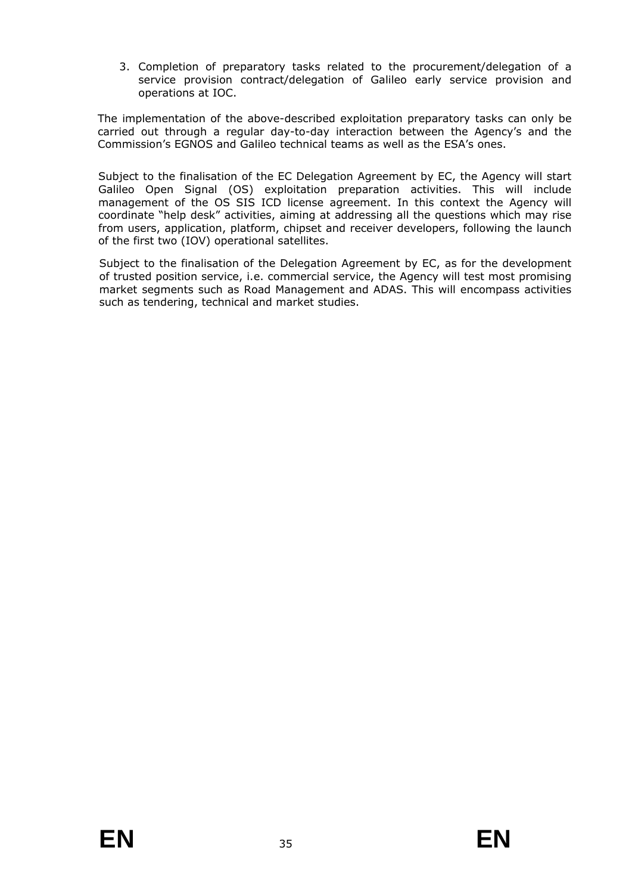3. Completion of preparatory tasks related to the procurement/delegation of a service provision contract/delegation of Galileo early service provision and operations at IOC.

The implementation of the above-described exploitation preparatory tasks can only be carried out through a regular day-to-day interaction between the Agency's and the Commission's EGNOS and Galileo technical teams as well as the ESA's ones.

Subject to the finalisation of the EC Delegation Agreement by EC, the Agency will start Galileo Open Signal (OS) exploitation preparation activities. This will include management of the OS SIS ICD license agreement. In this context the Agency will coordinate "help desk" activities, aiming at addressing all the questions which may rise from users, application, platform, chipset and receiver developers, following the launch of the first two (IOV) operational satellites.

Subject to the finalisation of the Delegation Agreement by EC, as for the development of trusted position service, i.e. commercial service, the Agency will test most promising market segments such as Road Management and ADAS. This will encompass activities such as tendering, technical and market studies.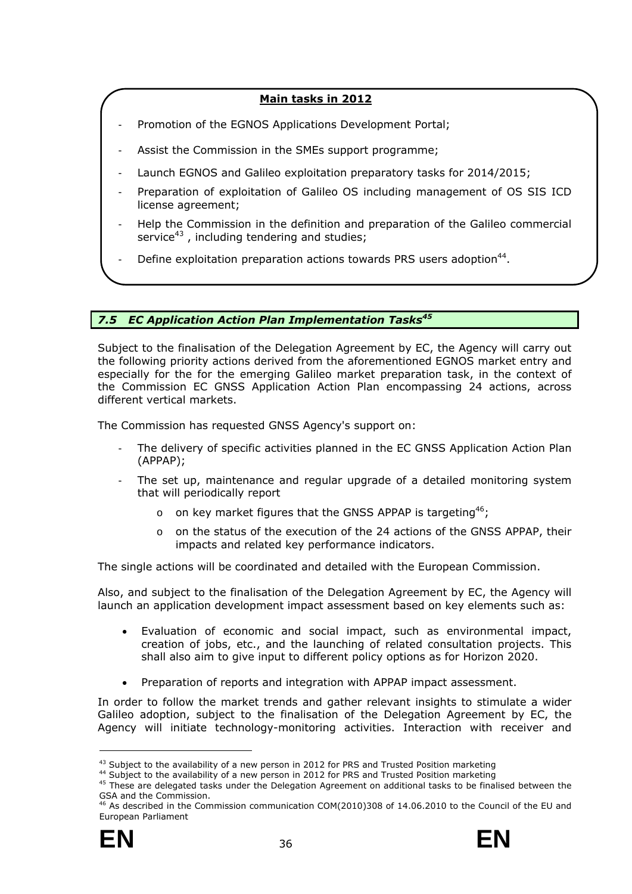# **Main tasks in 2012**

- Promotion of the EGNOS Applications Development Portal;
- Assist the Commission in the SMEs support programme;
- Launch EGNOS and Galileo exploitation preparatory tasks for 2014/2015;
- Preparation of exploitation of Galileo OS including management of OS SIS ICD license agreement;
- Help the Commission in the definition and preparation of the Galileo commercial service<sup>43</sup>, including tendering and studies;
- Define exploitation preparation actions towards PRS users adoption<sup>44</sup>.

# <span id="page-41-0"></span>7.5 *EC Application Action Plan Implementation Tasks<sup>45</sup>*

Subject to the finalisation of the Delegation Agreement by EC, the Agency will carry out the following priority actions derived from the aforementioned EGNOS market entry and especially for the for the emerging Galileo market preparation task, in the context of the Commission EC GNSS Application Action Plan encompassing 24 actions, across different vertical markets.

The Commission has requested GNSS Agency's support on:

- The delivery of specific activities planned in the EC GNSS Application Action Plan (APPAP);
- The set up, maintenance and regular upgrade of a detailed monitoring system that will periodically report
	- o on key market figures that the GNSS APPAP is targeting<sup>46</sup>;
	- o on the status of the execution of the 24 actions of the GNSS APPAP, their impacts and related key performance indicators.

The single actions will be coordinated and detailed with the European Commission.

Also, and subject to the finalisation of the Delegation Agreement by EC, the Agency will launch an application development impact assessment based on key elements such as:

- Evaluation of economic and social impact, such as environmental impact, creation of jobs, etc., and the launching of related consultation projects. This shall also aim to give input to different policy options as for Horizon 2020.
- Preparation of reports and integration with APPAP impact assessment.

In order to follow the market trends and gather relevant insights to stimulate a wider Galileo adoption, subject to the finalisation of the Delegation Agreement by EC, the Agency will initiate technology-monitoring activities. Interaction with receiver and

<sup>46</sup> As described in the Commission communication COM(2010)308 of 14.06.2010 to the Council of the EU and European Parliament



<sup>&</sup>lt;sup>43</sup> Subject to the availability of a new person in 2012 for PRS and Trusted Position marketing<br><sup>44</sup> Subject to the availability of a new person in 2012 for PRS and Trusted Position marketing<br><sup>45</sup> These are delegated task GSA and the Commission.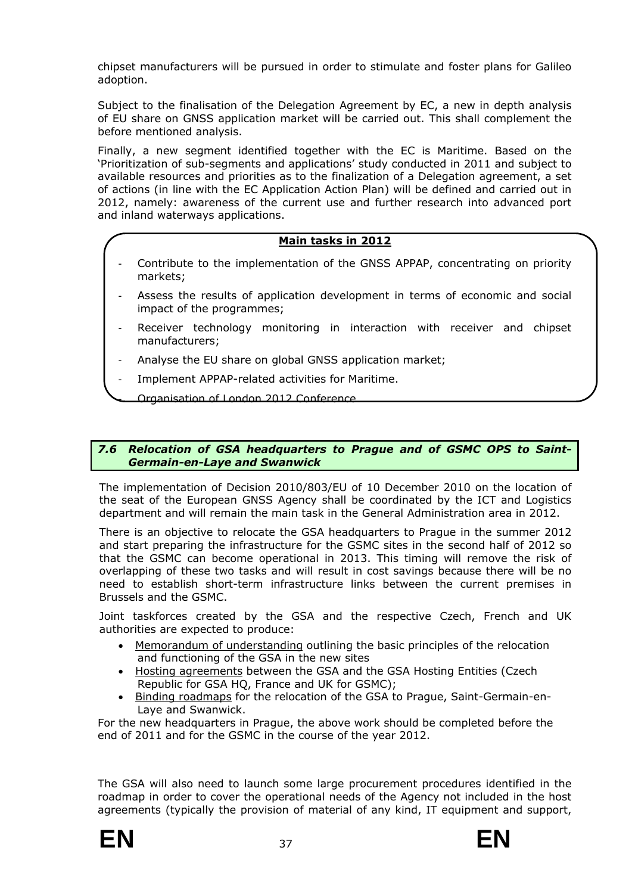chipset manufacturers will be pursued in order to stimulate and foster plans for Galileo adoption.

Subject to the finalisation of the Delegation Agreement by EC, a new in depth analysis of EU share on GNSS application market will be carried out. This shall complement the before mentioned analysis.

Finally, a new segment identified together with the EC is Maritime. Based on the 'Prioritization of sub-segments and applications' study conducted in 2011 and subject to available resources and priorities as to the finalization of a Delegation agreement, a set of actions (in line with the EC Application Action Plan) will be defined and carried out in 2012, namely: awareness of the current use and further research into advanced port and inland waterways applications.

# **Main tasks in 2012**

- Contribute to the implementation of the GNSS APPAP, concentrating on priority markets;
- Assess the results of application development in terms of economic and social impact of the programmes;
- Receiver technology monitoring in interaction with receiver and chipset manufacturers;
- Analyse the EU share on global GNSS application market;
- Implement APPAP-related activities for Maritime.

Organisation of London 2012 Conference

#### <span id="page-42-0"></span>*7.6 Relocation of GSA headquarters to Prague and of GSMC OPS to Saint-Germain-en-Laye and Swanwick*

The implementation of Decision 2010/803/EU of 10 December 2010 on the location of the seat of the European GNSS Agency shall be coordinated by the ICT and Logistics department and will remain the main task in the General Administration area in 2012.

There is an objective to relocate the GSA headquarters to Prague in the summer 2012 and start preparing the infrastructure for the GSMC sites in the second half of 2012 so that the GSMC can become operational in 2013. This timing will remove the risk of overlapping of these two tasks and will result in cost savings because there will be no need to establish short-term infrastructure links between the current premises in Brussels and the GSMC.

Joint taskforces created by the GSA and the respective Czech, French and UK authorities are expected to produce:

- Memorandum of understanding outlining the basic principles of the relocation and functioning of the GSA in the new sites
- Hosting agreements between the GSA and the GSA Hosting Entities (Czech Republic for GSA HQ, France and UK for GSMC);
- Binding roadmaps for the relocation of the GSA to Prague, Saint-Germain-en-Laye and Swanwick.

For the new headquarters in Prague, the above work should be completed before the end of 2011 and for the GSMC in the course of the year 2012.

The GSA will also need to launch some large procurement procedures identified in the roadmap in order to cover the operational needs of the Agency not included in the host agreements (typically the provision of material of any kind, IT equipment and support,



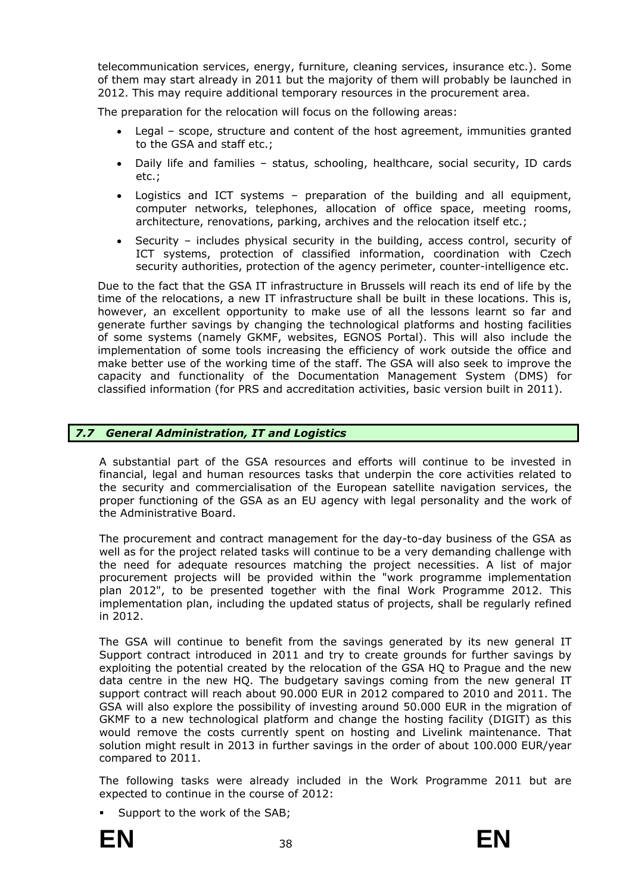telecommunication services, energy, furniture, cleaning services, insurance etc.). Some of them may start already in 2011 but the majority of them will probably be launched in 2012. This may require additional temporary resources in the procurement area.

The preparation for the relocation will focus on the following areas:

- Legal scope, structure and content of the host agreement, immunities granted to the GSA and staff etc.;
- Daily life and families status, schooling, healthcare, social security, ID cards etc.;
- Logistics and ICT systems preparation of the building and all equipment, computer networks, telephones, allocation of office space, meeting rooms, architecture, renovations, parking, archives and the relocation itself etc.;
- Security includes physical security in the building, access control, security of ICT systems, protection of classified information, coordination with Czech security authorities, protection of the agency perimeter, counter-intelligence etc.

Due to the fact that the GSA IT infrastructure in Brussels will reach its end of life by the time of the relocations, a new IT infrastructure shall be built in these locations. This is, however, an excellent opportunity to make use of all the lessons learnt so far and generate further savings by changing the technological platforms and hosting facilities of some systems (namely GKMF, websites, EGNOS Portal). This will also include the implementation of some tools increasing the efficiency of work outside the office and make better use of the working time of the staff. The GSA will also seek to improve the capacity and functionality of the Documentation Management System (DMS) for classified information (for PRS and accreditation activities, basic version built in 2011).

# <span id="page-43-0"></span>*7.7 General Administration, IT and Logistics*

A substantial part of the GSA resources and efforts will continue to be invested in financial, legal and human resources tasks that underpin the core activities related to the security and commercialisation of the European satellite navigation services, the proper functioning of the GSA as an EU agency with legal personality and the work of the Administrative Board.

The procurement and contract management for the day-to-day business of the GSA as well as for the project related tasks will continue to be a very demanding challenge with the need for adequate resources matching the project necessities. A list of major procurement projects will be provided within the "work programme implementation plan 2012", to be presented together with the final Work Programme 2012. This implementation plan, including the updated status of projects, shall be regularly refined in 2012.

The GSA will continue to benefit from the savings generated by its new general IT Support contract introduced in 2011 and try to create grounds for further savings by exploiting the potential created by the relocation of the GSA HQ to Prague and the new data centre in the new HQ. The budgetary savings coming from the new general IT support contract will reach about 90.000 EUR in 2012 compared to 2010 and 2011. The GSA will also explore the possibility of investing around 50.000 EUR in the migration of GKMF to a new technological platform and change the hosting facility (DIGIT) as this would remove the costs currently spent on hosting and Livelink maintenance. That solution might result in 2013 in further savings in the order of about 100.000 EUR/year compared to 2011.

The following tasks were already included in the Work Programme 2011 but are expected to continue in the course of 2012:

Support to the work of the SAB;

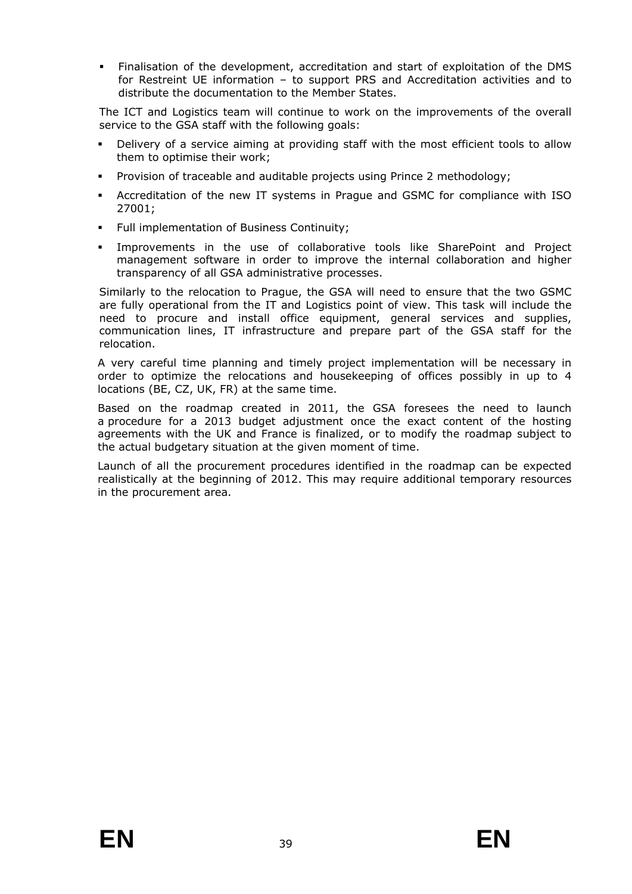Finalisation of the development, accreditation and start of exploitation of the DMS for Restreint UE information – to support PRS and Accreditation activities and to distribute the documentation to the Member States.

The ICT and Logistics team will continue to work on the improvements of the overall service to the GSA staff with the following goals:

- Delivery of a service aiming at providing staff with the most efficient tools to allow them to optimise their work;
- Provision of traceable and auditable projects using Prince 2 methodology;
- Accreditation of the new IT systems in Prague and GSMC for compliance with ISO 27001;
- Full implementation of Business Continuity;
- Improvements in the use of collaborative tools like SharePoint and Project management software in order to improve the internal collaboration and higher transparency of all GSA administrative processes.

Similarly to the relocation to Prague, the GSA will need to ensure that the two GSMC are fully operational from the IT and Logistics point of view. This task will include the need to procure and install office equipment, general services and supplies, communication lines, IT infrastructure and prepare part of the GSA staff for the relocation.

A very careful time planning and timely project implementation will be necessary in order to optimize the relocations and housekeeping of offices possibly in up to 4 locations (BE, CZ, UK, FR) at the same time.

Based on the roadmap created in 2011, the GSA foresees the need to launch a procedure for a 2013 budget adjustment once the exact content of the hosting agreements with the UK and France is finalized, or to modify the roadmap subject to the actual budgetary situation at the given moment of time.

Launch of all the procurement procedures identified in the roadmap can be expected realistically at the beginning of 2012. This may require additional temporary resources in the procurement area.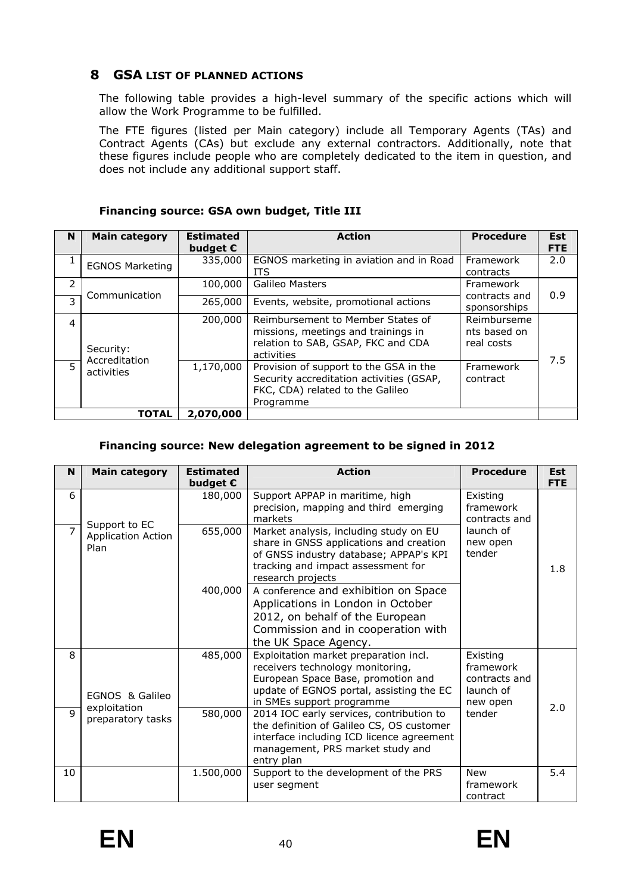# <span id="page-45-0"></span>**8 GSA LIST OF PLANNED ACTIONS**

The following table provides a high-level summary of the specific actions which will allow the Work Programme to be fulfilled.

The FTE figures (listed per Main category) include all Temporary Agents (TAs) and Contract Agents (CAs) but exclude any external contractors. Additionally, note that these figures include people who are completely dedicated to the item in question, and does not include any additional support staff.

| N                         | <b>Main category</b>        | <b>Estimated</b><br>budget $\epsilon$ | <b>Action</b>                                                                                                                       | <b>Procedure</b>                          | <b>Est</b><br><b>FTE</b> |
|---------------------------|-----------------------------|---------------------------------------|-------------------------------------------------------------------------------------------------------------------------------------|-------------------------------------------|--------------------------|
| 1                         | <b>EGNOS Marketing</b>      | 335,000                               | EGNOS marketing in aviation and in Road<br><b>ITS</b>                                                                               | Framework<br>contracts                    | 2.0                      |
| 2                         | Communication               | 100,000                               | <b>Galileo Masters</b>                                                                                                              | Framework<br>contracts and                | 0.9                      |
| 3                         |                             | 265,000                               | Events, website, promotional actions                                                                                                | sponsorships                              |                          |
| 4                         | Security:                   | 200,000                               | Reimbursement to Member States of<br>missions, meetings and trainings in<br>relation to SAB, GSAP, FKC and CDA<br>activities        | Reimburseme<br>nts based on<br>real costs |                          |
| 5                         | Accreditation<br>activities | 1,170,000                             | Provision of support to the GSA in the<br>Security accreditation activities (GSAP,<br>FKC, CDA) related to the Galileo<br>Programme | Framework<br>contract                     | 7.5                      |
| <b>TOTAL</b><br>2,070,000 |                             |                                       |                                                                                                                                     |                                           |                          |

# **Financing source: GSA own budget, Title III**

# **Financing source: New delegation agreement to be signed in 2012**

| N              | <b>Main category</b>                               | <b>Estimated</b><br>budget $\epsilon$ | <b>Action</b>                                                                                                                                                                            | <b>Procedure</b>                                                | <b>Est</b><br><b>FTE</b> |
|----------------|----------------------------------------------------|---------------------------------------|------------------------------------------------------------------------------------------------------------------------------------------------------------------------------------------|-----------------------------------------------------------------|--------------------------|
| 6              |                                                    | 180,000                               | Support APPAP in maritime, high<br>precision, mapping and third emerging<br>markets                                                                                                      | Existing<br>framework<br>contracts and                          |                          |
| $\overline{7}$ | Support to EC<br><b>Application Action</b><br>Plan | 655,000                               | Market analysis, including study on EU<br>share in GNSS applications and creation<br>of GNSS industry database; APPAP's KPI<br>tracking and impact assessment for<br>research projects   | launch of<br>new open<br>tender                                 | 1.8                      |
|                |                                                    | 400,000                               | A conference and exhibition on Space<br>Applications in London in October<br>2012, on behalf of the European<br>Commission and in cooperation with<br>the UK Space Agency.               |                                                                 |                          |
| 8              | EGNOS & Galileo                                    | 485,000                               | Exploitation market preparation incl.<br>receivers technology monitoring,<br>European Space Base, promotion and<br>update of EGNOS portal, assisting the EC<br>in SMEs support programme | Existing<br>framework<br>contracts and<br>launch of<br>new open | 2.0                      |
| $\mathsf q$    | exploitation<br>preparatory tasks                  | 580,000                               | 2014 IOC early services, contribution to<br>the definition of Galileo CS, OS customer<br>interface including ICD licence agreement<br>management, PRS market study and<br>entry plan     | tender                                                          |                          |
| 10             |                                                    | 1.500,000                             | Support to the development of the PRS<br>user segment                                                                                                                                    | <b>New</b><br>framework<br>contract                             | 5.4                      |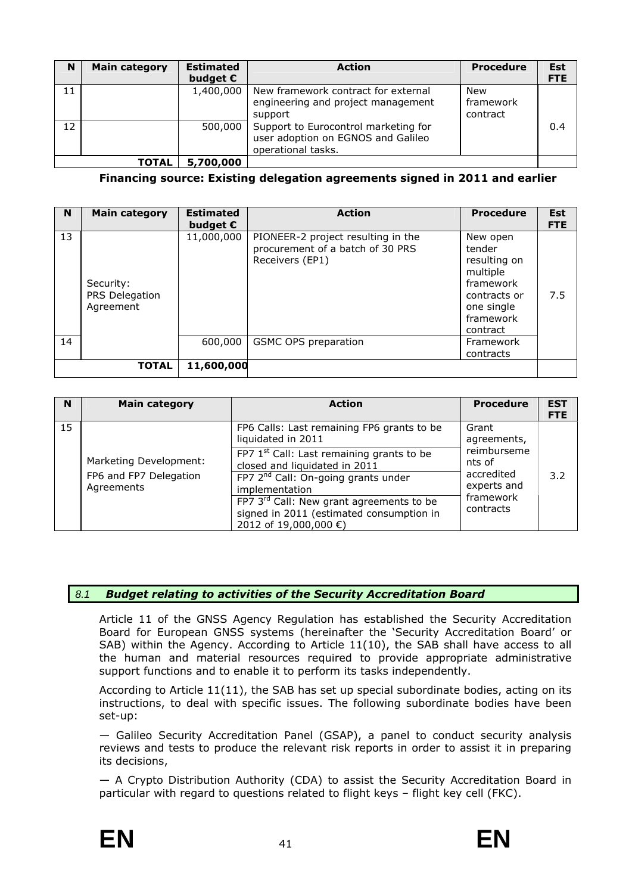| N                         | <b>Main category</b> | <b>Estimated</b><br>budget $\epsilon$ | <b>Action</b>                                                                                    | <b>Procedure</b>             | <b>Est</b><br><b>FTE</b> |
|---------------------------|----------------------|---------------------------------------|--------------------------------------------------------------------------------------------------|------------------------------|--------------------------|
| 11                        |                      | 1,400,000                             | New framework contract for external<br>engineering and project management<br>support             | New<br>framework<br>contract |                          |
| 12                        |                      | 500,000                               | Support to Eurocontrol marketing for<br>user adoption on EGNOS and Galileo<br>operational tasks. |                              | 0.4                      |
| <b>TOTAL</b><br>5,700,000 |                      |                                       |                                                                                                  |                              |                          |

**Financing source: Existing delegation agreements signed in 2011 and earlier** 

| N  | <b>Main category</b>                     | <b>Estimated</b>  | <b>Action</b>                                                                             | <b>Procedure</b>                                                                                                   | <b>Est</b> |
|----|------------------------------------------|-------------------|-------------------------------------------------------------------------------------------|--------------------------------------------------------------------------------------------------------------------|------------|
|    |                                          | budget $\epsilon$ |                                                                                           |                                                                                                                    | <b>FTE</b> |
| 13 | Security:<br>PRS Delegation<br>Agreement | 11,000,000        | PIONEER-2 project resulting in the<br>procurement of a batch of 30 PRS<br>Receivers (EP1) | New open<br>tender<br>resulting on<br>multiple<br>framework<br>contracts or<br>one single<br>framework<br>contract | 7.5        |
| 14 |                                          | 600,000           | GSMC OPS preparation                                                                      | Framework                                                                                                          |            |
|    |                                          |                   |                                                                                           | contracts                                                                                                          |            |
|    | <b>TOTAL</b>                             | 11,600,000        |                                                                                           |                                                                                                                    |            |

| N  | <b>Main category</b>                                           | <b>Action</b>                                                                                                                                                                                                                                                                            | <b>Procedure</b>                                                             | <b>EST</b><br><b>FTE</b> |
|----|----------------------------------------------------------------|------------------------------------------------------------------------------------------------------------------------------------------------------------------------------------------------------------------------------------------------------------------------------------------|------------------------------------------------------------------------------|--------------------------|
| 15 |                                                                | FP6 Calls: Last remaining FP6 grants to be<br>liquidated in 2011                                                                                                                                                                                                                         | Grant<br>agreements,                                                         |                          |
|    | Marketing Development:<br>FP6 and FP7 Delegation<br>Agreements | FP7 1 <sup>st</sup> Call: Last remaining grants to be<br>closed and liquidated in 2011<br>FP7 2 <sup>nd</sup> Call: On-going grants under<br>implementation<br>FP7 3 <sup>rd</sup> Call: New grant agreements to be<br>signed in 2011 (estimated consumption in<br>2012 of 19,000,000 €) | reimburseme<br>nts of<br>accredited<br>experts and<br>framework<br>contracts | 3.2                      |

# <span id="page-46-0"></span>*8.1 Budget relating to activities of the Security Accreditation Board*

Article 11 of the GNSS Agency Regulation has established the Security Accreditation Board for European GNSS systems (hereinafter the 'Security Accreditation Board' or SAB) within the Agency. According to Article 11(10), the SAB shall have access to all the human and material resources required to provide appropriate administrative support functions and to enable it to perform its tasks independently.

According to Article 11(11), the SAB has set up special subordinate bodies, acting on its instructions, to deal with specific issues. The following subordinate bodies have been set-up:

— Galileo Security Accreditation Panel (GSAP), a panel to conduct security analysis reviews and tests to produce the relevant risk reports in order to assist it in preparing its decisions,

— A Crypto Distribution Authority (CDA) to assist the Security Accreditation Board in particular with regard to questions related to flight keys – flight key cell (FKC).



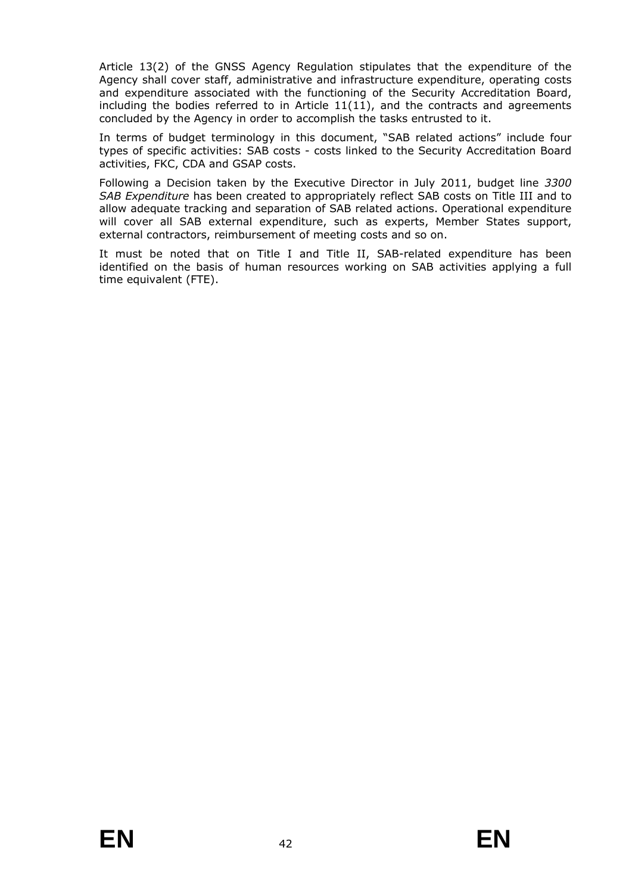Article 13(2) of the GNSS Agency Regulation stipulates that the expenditure of the Agency shall cover staff, administrative and infrastructure expenditure, operating costs and expenditure associated with the functioning of the Security Accreditation Board, including the bodies referred to in Article  $11(11)$ , and the contracts and agreements concluded by the Agency in order to accomplish the tasks entrusted to it.

In terms of budget terminology in this document, "SAB related actions" include four types of specific activities: SAB costs - costs linked to the Security Accreditation Board activities, FKC, CDA and GSAP costs.

Following a Decision taken by the Executive Director in July 2011, budget line *3300 SAB Expenditure* has been created to appropriately reflect SAB costs on Title III and to allow adequate tracking and separation of SAB related actions. Operational expenditure will cover all SAB external expenditure, such as experts, Member States support, external contractors, reimbursement of meeting costs and so on.

It must be noted that on Title I and Title II, SAB-related expenditure has been identified on the basis of human resources working on SAB activities applying a full time equivalent (FTE).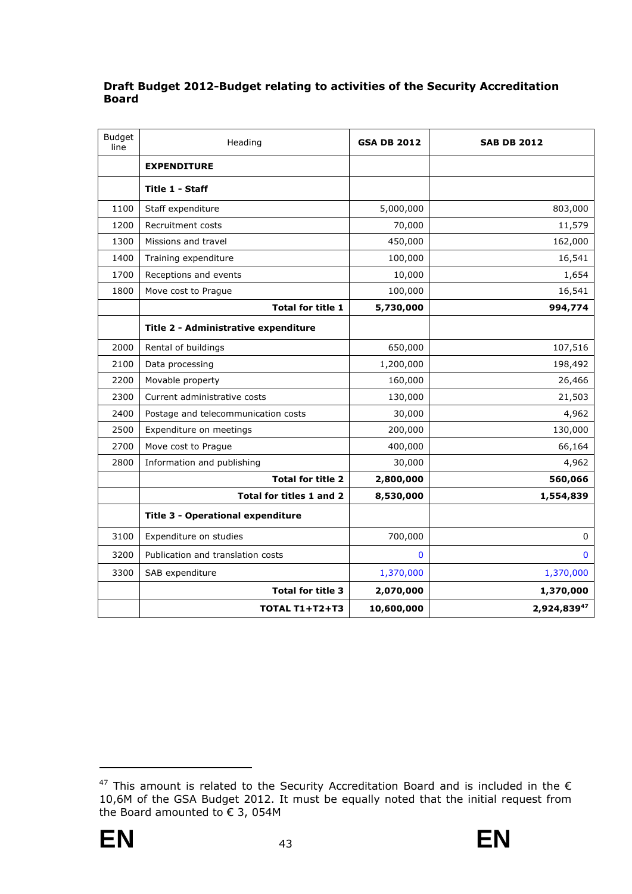# **Draft Budget 2012-Budget relating to activities of the Security Accreditation Board**

| <b>Budget</b><br>line | Heading                                  | <b>GSA DB 2012</b> | <b>SAB DB 2012</b> |
|-----------------------|------------------------------------------|--------------------|--------------------|
|                       | <b>EXPENDITURE</b>                       |                    |                    |
|                       | Title 1 - Staff                          |                    |                    |
| 1100                  | Staff expenditure                        | 5,000,000          | 803,000            |
| 1200                  | Recruitment costs                        | 70,000             | 11,579             |
| 1300                  | Missions and travel                      | 450,000            | 162,000            |
| 1400                  | Training expenditure                     | 100,000            | 16,541             |
| 1700                  | Receptions and events                    | 10,000             | 1,654              |
| 1800                  | Move cost to Prague                      | 100,000            | 16,541             |
|                       | <b>Total for title 1</b>                 | 5,730,000          | 994,774            |
|                       | Title 2 - Administrative expenditure     |                    |                    |
| 2000                  | Rental of buildings                      | 650,000            | 107,516            |
| 2100                  | Data processing                          | 1,200,000          | 198,492            |
| 2200                  | Movable property                         | 160,000            | 26,466             |
| 2300                  | Current administrative costs             | 130,000            | 21,503             |
| 2400                  | Postage and telecommunication costs      | 30,000             | 4,962              |
| 2500                  | Expenditure on meetings                  | 200,000            | 130,000            |
| 2700                  | Move cost to Prague                      | 400,000            | 66,164             |
| 2800                  | Information and publishing               | 30,000             | 4,962              |
|                       | <b>Total for title 2</b>                 | 2,800,000          | 560,066            |
|                       | Total for titles 1 and 2                 | 8,530,000          | 1,554,839          |
|                       | <b>Title 3 - Operational expenditure</b> |                    |                    |
| 3100                  | Expenditure on studies                   | 700,000            | 0                  |
| 3200                  | Publication and translation costs        | $\Omega$           | $\bf{0}$           |
| 3300                  | SAB expenditure                          | 1,370,000          | 1,370,000          |
|                       | <b>Total for title 3</b>                 | 2,070,000          | 1,370,000          |
|                       | <b>TOTAL T1+T2+T3</b>                    | 10,600,000         | 2,924,83947        |

 $47$  This amount is related to the Security Accreditation Board and is included in the  $\epsilon$ 10,6M of the GSA Budget 2012. It must be equally noted that the initial request from the Board amounted to  $\epsilon$  3, 054M